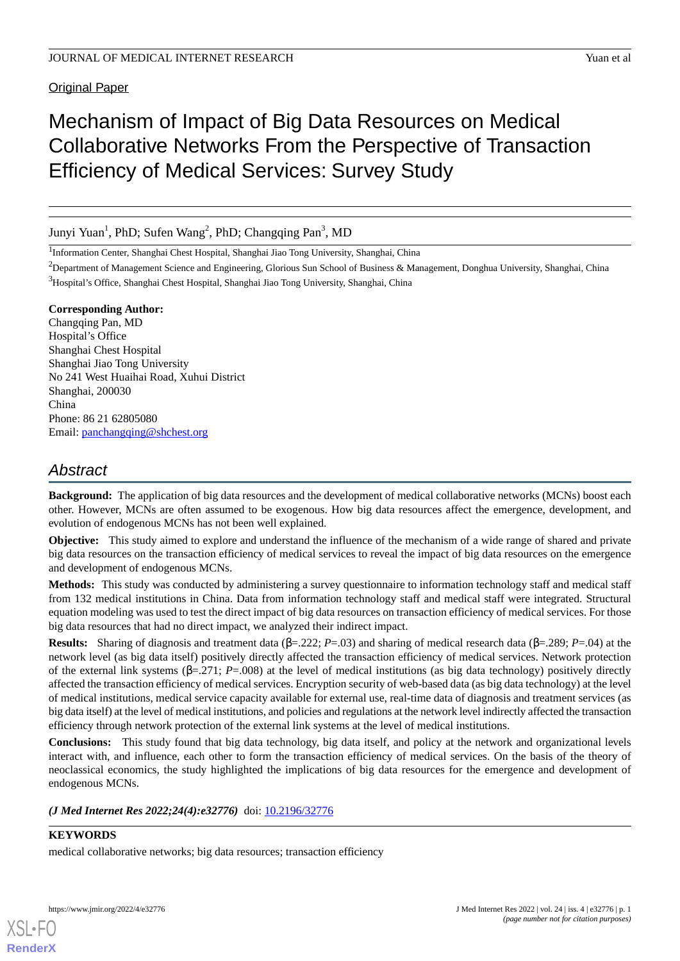Original Paper

# Mechanism of Impact of Big Data Resources on Medical Collaborative Networks From the Perspective of Transaction Efficiency of Medical Services: Survey Study

Junyi Yuan<sup>1</sup>, PhD; Sufen Wang<sup>2</sup>, PhD; Changqing Pan<sup>3</sup>, MD

<sup>1</sup>Information Center, Shanghai Chest Hospital, Shanghai Jiao Tong University, Shanghai, China

<sup>2</sup>Department of Management Science and Engineering, Glorious Sun School of Business & Management, Donghua University, Shanghai, China <sup>3</sup>Hospital's Office, Shanghai Chest Hospital, Shanghai Jiao Tong University, Shanghai, China

# **Corresponding Author:**

Changqing Pan, MD Hospital's Office Shanghai Chest Hospital Shanghai Jiao Tong University No 241 West Huaihai Road, Xuhui District Shanghai, 200030 China Phone: 86 21 62805080 Email: [panchangqing@shchest.org](mailto:panchangqing@shchest.org)

# *Abstract*

**Background:** The application of big data resources and the development of medical collaborative networks (MCNs) boost each other. However, MCNs are often assumed to be exogenous. How big data resources affect the emergence, development, and evolution of endogenous MCNs has not been well explained.

**Objective:** This study aimed to explore and understand the influence of the mechanism of a wide range of shared and private big data resources on the transaction efficiency of medical services to reveal the impact of big data resources on the emergence and development of endogenous MCNs.

**Methods:** This study was conducted by administering a survey questionnaire to information technology staff and medical staff from 132 medical institutions in China. Data from information technology staff and medical staff were integrated. Structural equation modeling was used to test the direct impact of big data resources on transaction efficiency of medical services. For those big data resources that had no direct impact, we analyzed their indirect impact.

**Results:** Sharing of diagnosis and treatment data (β=.222; *P*=.03) and sharing of medical research data (β=.289; *P*=.04) at the network level (as big data itself) positively directly affected the transaction efficiency of medical services. Network protection of the external link systems (β=.271; *P*=.008) at the level of medical institutions (as big data technology) positively directly affected the transaction efficiency of medical services. Encryption security of web-based data (as big data technology) at the level of medical institutions, medical service capacity available for external use, real-time data of diagnosis and treatment services (as big data itself) at the level of medical institutions, and policies and regulations at the network level indirectly affected the transaction efficiency through network protection of the external link systems at the level of medical institutions.

**Conclusions:** This study found that big data technology, big data itself, and policy at the network and organizational levels interact with, and influence, each other to form the transaction efficiency of medical services. On the basis of the theory of neoclassical economics, the study highlighted the implications of big data resources for the emergence and development of endogenous MCNs.

*(J Med Internet Res 2022;24(4):e32776)* doi:  $10.2196/32776$ 

# **KEYWORDS**

medical collaborative networks; big data resources; transaction efficiency



**[RenderX](http://www.renderx.com/)**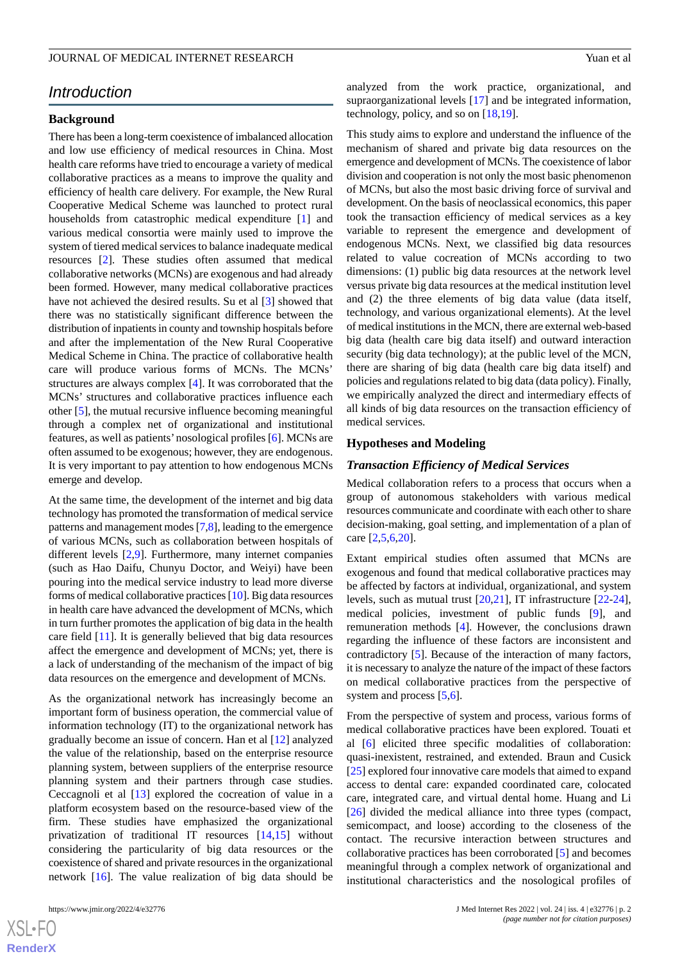# JOURNAL OF MEDICAL INTERNET RESEARCH Yuan et al. The Second State of the Second State of the Second State of the Second State of the Second State of the Second State of the Second State of the Second State of the Second St

# *Introduction*

# **Background**

There has been a long-term coexistence of imbalanced allocation and low use efficiency of medical resources in China. Most health care reforms have tried to encourage a variety of medical collaborative practices as a means to improve the quality and efficiency of health care delivery. For example, the New Rural Cooperative Medical Scheme was launched to protect rural households from catastrophic medical expenditure [[1\]](#page-14-0) and various medical consortia were mainly used to improve the system of tiered medical services to balance inadequate medical resources [[2\]](#page-14-1). These studies often assumed that medical collaborative networks (MCNs) are exogenous and had already been formed. However, many medical collaborative practices have not achieved the desired results. Su et al [\[3](#page-14-2)] showed that there was no statistically significant difference between the distribution of inpatients in county and township hospitals before and after the implementation of the New Rural Cooperative Medical Scheme in China. The practice of collaborative health care will produce various forms of MCNs. The MCNs' structures are always complex [[4\]](#page-14-3). It was corroborated that the MCNs' structures and collaborative practices influence each other [[5\]](#page-14-4), the mutual recursive influence becoming meaningful through a complex net of organizational and institutional features, as well as patients'nosological profiles [[6\]](#page-15-0). MCNs are often assumed to be exogenous; however, they are endogenous. It is very important to pay attention to how endogenous MCNs emerge and develop.

At the same time, the development of the internet and big data technology has promoted the transformation of medical service patterns and management modes [[7](#page-15-1)[,8](#page-15-2)], leading to the emergence of various MCNs, such as collaboration between hospitals of different levels [\[2](#page-14-1),[9\]](#page-15-3). Furthermore, many internet companies (such as Hao Daifu, Chunyu Doctor, and Weiyi) have been pouring into the medical service industry to lead more diverse forms of medical collaborative practices [[10\]](#page-15-4). Big data resources in health care have advanced the development of MCNs, which in turn further promotes the application of big data in the health care field [\[11](#page-15-5)]. It is generally believed that big data resources affect the emergence and development of MCNs; yet, there is a lack of understanding of the mechanism of the impact of big data resources on the emergence and development of MCNs.

As the organizational network has increasingly become an important form of business operation, the commercial value of information technology (IT) to the organizational network has gradually become an issue of concern. Han et al [\[12](#page-15-6)] analyzed the value of the relationship, based on the enterprise resource planning system, between suppliers of the enterprise resource planning system and their partners through case studies. Ceccagnoli et al [[13\]](#page-15-7) explored the cocreation of value in a platform ecosystem based on the resource-based view of the firm. These studies have emphasized the organizational privatization of traditional IT resources [\[14](#page-15-8),[15\]](#page-15-9) without considering the particularity of big data resources or the coexistence of shared and private resources in the organizational network [\[16](#page-15-10)]. The value realization of big data should be

 $XS$  $\cdot$ FC **[RenderX](http://www.renderx.com/)** analyzed from the work practice, organizational, and supraorganizational levels [\[17](#page-15-11)] and be integrated information, technology, policy, and so on [[18](#page-15-12)[,19](#page-15-13)].

This study aims to explore and understand the influence of the mechanism of shared and private big data resources on the emergence and development of MCNs. The coexistence of labor division and cooperation is not only the most basic phenomenon of MCNs, but also the most basic driving force of survival and development. On the basis of neoclassical economics, this paper took the transaction efficiency of medical services as a key variable to represent the emergence and development of endogenous MCNs. Next, we classified big data resources related to value cocreation of MCNs according to two dimensions: (1) public big data resources at the network level versus private big data resources at the medical institution level and (2) the three elements of big data value (data itself, technology, and various organizational elements). At the level of medical institutions in the MCN, there are external web-based big data (health care big data itself) and outward interaction security (big data technology); at the public level of the MCN, there are sharing of big data (health care big data itself) and policies and regulations related to big data (data policy). Finally, we empirically analyzed the direct and intermediary effects of all kinds of big data resources on the transaction efficiency of medical services.

# **Hypotheses and Modeling**

#### *Transaction Efficiency of Medical Services*

Medical collaboration refers to a process that occurs when a group of autonomous stakeholders with various medical resources communicate and coordinate with each other to share decision-making, goal setting, and implementation of a plan of care [\[2](#page-14-1),[5,](#page-14-4)[6](#page-15-0),[20\]](#page-15-14).

Extant empirical studies often assumed that MCNs are exogenous and found that medical collaborative practices may be affected by factors at individual, organizational, and system levels, such as mutual trust [[20,](#page-15-14)[21](#page-15-15)], IT infrastructure [[22-](#page-15-16)[24\]](#page-15-17), medical policies, investment of public funds [\[9](#page-15-3)], and remuneration methods [[4\]](#page-14-3). However, the conclusions drawn regarding the influence of these factors are inconsistent and contradictory [\[5](#page-14-4)]. Because of the interaction of many factors, it is necessary to analyze the nature of the impact of these factors on medical collaborative practices from the perspective of system and process  $[5,6]$  $[5,6]$  $[5,6]$  $[5,6]$ .

From the perspective of system and process, various forms of medical collaborative practices have been explored. Touati et al [\[6\]](#page-15-0) elicited three specific modalities of collaboration: quasi-inexistent, restrained, and extended. Braun and Cusick [[25\]](#page-15-18) explored four innovative care models that aimed to expand access to dental care: expanded coordinated care, colocated care, integrated care, and virtual dental home. Huang and Li [[26\]](#page-15-19) divided the medical alliance into three types (compact, semicompact, and loose) according to the closeness of the contact. The recursive interaction between structures and collaborative practices has been corroborated [\[5](#page-14-4)] and becomes meaningful through a complex network of organizational and institutional characteristics and the nosological profiles of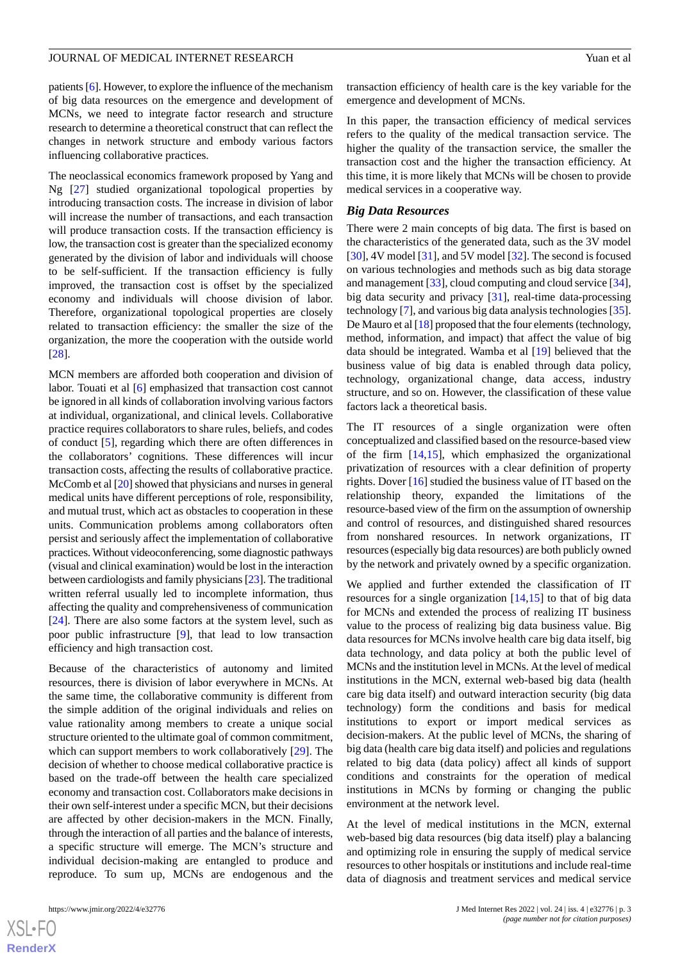# JOURNAL OF MEDICAL INTERNET RESEARCH Yuan et al. The Second State of the Second State of the Second State of the Second State of the Second State of the Second State of the Second State of the Second State of the Second St

patients [\[6](#page-15-0)]. However, to explore the influence of the mechanism of big data resources on the emergence and development of MCNs, we need to integrate factor research and structure research to determine a theoretical construct that can reflect the changes in network structure and embody various factors influencing collaborative practices.

The neoclassical economics framework proposed by Yang and Ng [[27\]](#page-15-20) studied organizational topological properties by introducing transaction costs. The increase in division of labor will increase the number of transactions, and each transaction will produce transaction costs. If the transaction efficiency is low, the transaction cost is greater than the specialized economy generated by the division of labor and individuals will choose to be self-sufficient. If the transaction efficiency is fully improved, the transaction cost is offset by the specialized economy and individuals will choose division of labor. Therefore, organizational topological properties are closely related to transaction efficiency: the smaller the size of the organization, the more the cooperation with the outside world [[28\]](#page-15-21).

MCN members are afforded both cooperation and division of labor. Touati et al [[6\]](#page-15-0) emphasized that transaction cost cannot be ignored in all kinds of collaboration involving various factors at individual, organizational, and clinical levels. Collaborative practice requires collaborators to share rules, beliefs, and codes of conduct [[5\]](#page-14-4), regarding which there are often differences in the collaborators' cognitions. These differences will incur transaction costs, affecting the results of collaborative practice. McComb et al [\[20\]](#page-15-14) showed that physicians and nurses in general medical units have different perceptions of role, responsibility, and mutual trust, which act as obstacles to cooperation in these units. Communication problems among collaborators often persist and seriously affect the implementation of collaborative practices. Without videoconferencing, some diagnostic pathways (visual and clinical examination) would be lost in the interaction between cardiologists and family physicians [[23](#page-15-22)]. The traditional written referral usually led to incomplete information, thus affecting the quality and comprehensiveness of communication [[24\]](#page-15-17). There are also some factors at the system level, such as poor public infrastructure [[9\]](#page-15-3), that lead to low transaction efficiency and high transaction cost.

Because of the characteristics of autonomy and limited resources, there is division of labor everywhere in MCNs. At the same time, the collaborative community is different from the simple addition of the original individuals and relies on value rationality among members to create a unique social structure oriented to the ultimate goal of common commitment, which can support members to work collaboratively [[29\]](#page-15-23). The decision of whether to choose medical collaborative practice is based on the trade-off between the health care specialized economy and transaction cost. Collaborators make decisions in their own self-interest under a specific MCN, but their decisions are affected by other decision-makers in the MCN. Finally, through the interaction of all parties and the balance of interests, a specific structure will emerge. The MCN's structure and individual decision-making are entangled to produce and reproduce. To sum up, MCNs are endogenous and the

transaction efficiency of health care is the key variable for the emergence and development of MCNs.

In this paper, the transaction efficiency of medical services refers to the quality of the medical transaction service. The higher the quality of the transaction service, the smaller the transaction cost and the higher the transaction efficiency. At this time, it is more likely that MCNs will be chosen to provide medical services in a cooperative way.

### *Big Data Resources*

There were 2 main concepts of big data. The first is based on the characteristics of the generated data, such as the 3V model [[30\]](#page-15-24), 4V model [\[31](#page-15-25)], and 5V model [[32\]](#page-16-0). The second is focused on various technologies and methods such as big data storage and management [\[33](#page-16-1)], cloud computing and cloud service [[34\]](#page-16-2), big data security and privacy [[31\]](#page-15-25), real-time data-processing technology [\[7](#page-15-1)], and various big data analysis technologies [[35\]](#page-16-3). De Mauro et al [\[18](#page-15-12)] proposed that the four elements (technology, method, information, and impact) that affect the value of big data should be integrated. Wamba et al [\[19](#page-15-13)] believed that the business value of big data is enabled through data policy, technology, organizational change, data access, industry structure, and so on. However, the classification of these value factors lack a theoretical basis.

The IT resources of a single organization were often conceptualized and classified based on the resource-based view of the firm [\[14](#page-15-8),[15\]](#page-15-9), which emphasized the organizational privatization of resources with a clear definition of property rights. Dover [\[16](#page-15-10)] studied the business value of IT based on the relationship theory, expanded the limitations of the resource-based view of the firm on the assumption of ownership and control of resources, and distinguished shared resources from nonshared resources. In network organizations, IT resources (especially big data resources) are both publicly owned by the network and privately owned by a specific organization.

We applied and further extended the classification of IT resources for a single organization  $[14,15]$  $[14,15]$  $[14,15]$  to that of big data for MCNs and extended the process of realizing IT business value to the process of realizing big data business value. Big data resources for MCNs involve health care big data itself, big data technology, and data policy at both the public level of MCNs and the institution level in MCNs. At the level of medical institutions in the MCN, external web-based big data (health care big data itself) and outward interaction security (big data technology) form the conditions and basis for medical institutions to export or import medical services as decision-makers. At the public level of MCNs, the sharing of big data (health care big data itself) and policies and regulations related to big data (data policy) affect all kinds of support conditions and constraints for the operation of medical institutions in MCNs by forming or changing the public environment at the network level.

At the level of medical institutions in the MCN, external web-based big data resources (big data itself) play a balancing and optimizing role in ensuring the supply of medical service resources to other hospitals or institutions and include real-time data of diagnosis and treatment services and medical service

```
XS\cdotFC
RenderX
```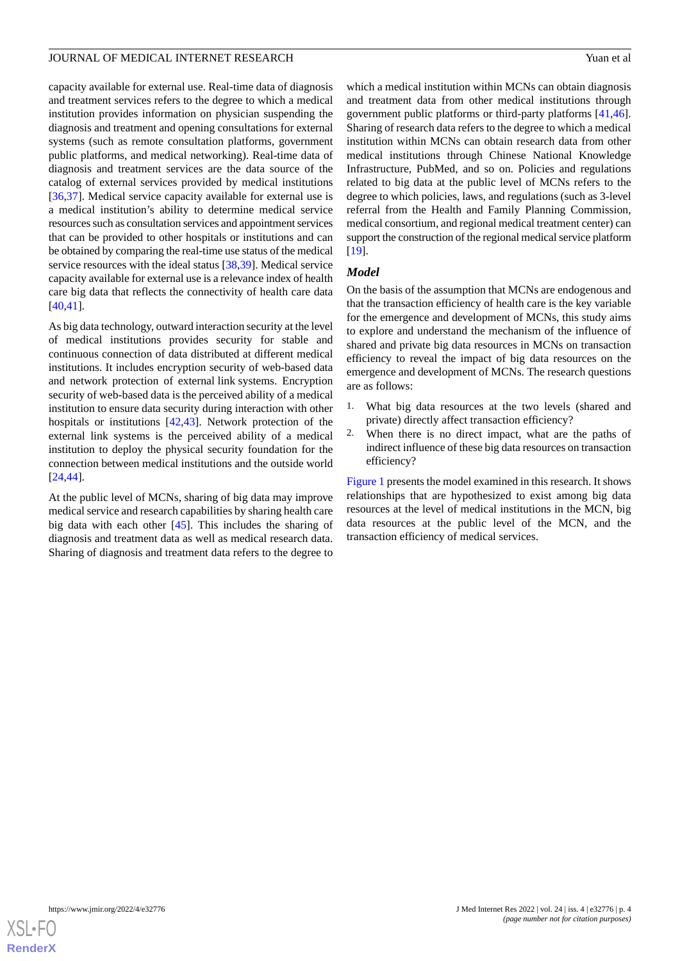capacity available for external use. Real-time data of diagnosis and treatment services refers to the degree to which a medical institution provides information on physician suspending the diagnosis and treatment and opening consultations for external systems (such as remote consultation platforms, government public platforms, and medical networking). Real-time data of diagnosis and treatment services are the data source of the catalog of external services provided by medical institutions [[36](#page-16-4)[,37](#page-16-5)]. Medical service capacity available for external use is a medical institution's ability to determine medical service resources such as consultation services and appointment services that can be provided to other hospitals or institutions and can be obtained by comparing the real-time use status of the medical service resources with the ideal status [[38,](#page-16-6)[39](#page-16-7)]. Medical service capacity available for external use is a relevance index of health care big data that reflects the connectivity of health care data [[40](#page-16-8)[,41](#page-16-9)].

As big data technology, outward interaction security at the level of medical institutions provides security for stable and continuous connection of data distributed at different medical institutions. It includes encryption security of web-based data and network protection of external link systems. Encryption security of web-based data is the perceived ability of a medical institution to ensure data security during interaction with other hospitals or institutions [\[42](#page-16-10),[43\]](#page-16-11). Network protection of the external link systems is the perceived ability of a medical institution to deploy the physical security foundation for the connection between medical institutions and the outside world [[24](#page-15-17)[,44](#page-16-12)].

At the public level of MCNs, sharing of big data may improve medical service and research capabilities by sharing health care big data with each other [\[45](#page-16-13)]. This includes the sharing of diagnosis and treatment data as well as medical research data. Sharing of diagnosis and treatment data refers to the degree to

which a medical institution within MCNs can obtain diagnosis and treatment data from other medical institutions through government public platforms or third-party platforms [\[41](#page-16-9),[46\]](#page-16-14). Sharing of research data refers to the degree to which a medical institution within MCNs can obtain research data from other medical institutions through Chinese National Knowledge Infrastructure, PubMed, and so on. Policies and regulations related to big data at the public level of MCNs refers to the degree to which policies, laws, and regulations (such as 3-level referral from the Health and Family Planning Commission, medical consortium, and regional medical treatment center) can support the construction of the regional medical service platform [[19\]](#page-15-13).

# *Model*

On the basis of the assumption that MCNs are endogenous and that the transaction efficiency of health care is the key variable for the emergence and development of MCNs, this study aims to explore and understand the mechanism of the influence of shared and private big data resources in MCNs on transaction efficiency to reveal the impact of big data resources on the emergence and development of MCNs. The research questions are as follows:

- 1. What big data resources at the two levels (shared and private) directly affect transaction efficiency?
- 2. When there is no direct impact, what are the paths of indirect influence of these big data resources on transaction efficiency?

[Figure 1](#page-4-0) presents the model examined in this research. It shows relationships that are hypothesized to exist among big data resources at the level of medical institutions in the MCN, big data resources at the public level of the MCN, and the transaction efficiency of medical services.

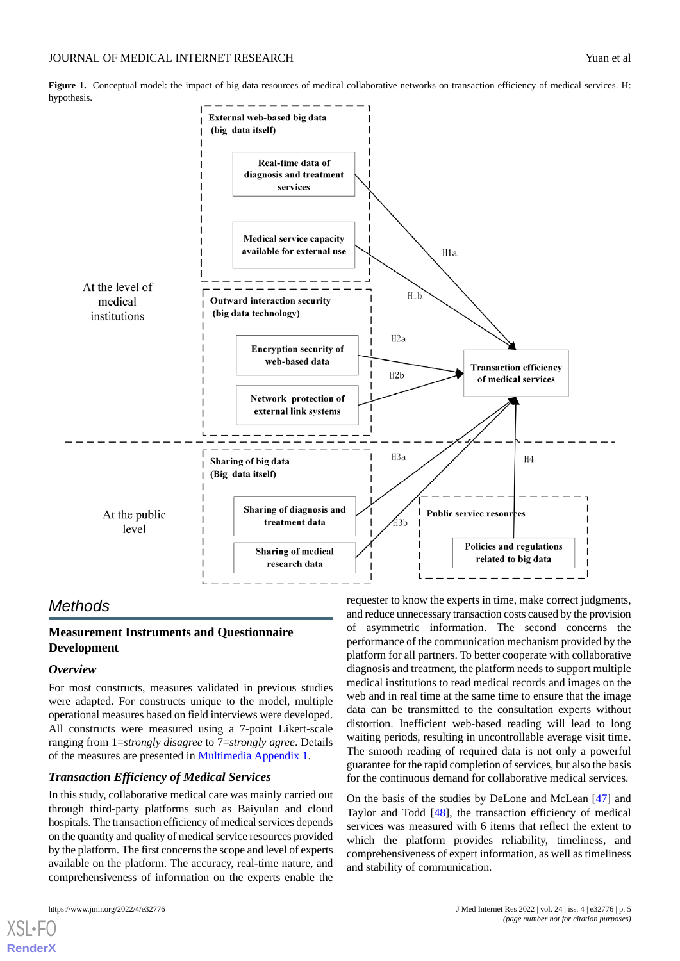<span id="page-4-0"></span>**Figure 1.** Conceptual model: the impact of big data resources of medical collaborative networks on transaction efficiency of medical services. H: hypothesis.



# *Methods*

# **Measurement Instruments and Questionnaire Development**

# *Overview*

For most constructs, measures validated in previous studies were adapted. For constructs unique to the model, multiple operational measures based on field interviews were developed. All constructs were measured using a 7-point Likert-scale ranging from 1=*strongly disagree* to 7=*strongly agree*. Details of the measures are presented in [Multimedia Appendix 1.](#page-14-5)

# *Transaction Efficiency of Medical Services*

In this study, collaborative medical care was mainly carried out through third-party platforms such as Baiyulan and cloud hospitals. The transaction efficiency of medical services depends on the quantity and quality of medical service resources provided by the platform. The first concerns the scope and level of experts available on the platform. The accuracy, real-time nature, and comprehensiveness of information on the experts enable the

[XSL](http://www.w3.org/Style/XSL)•FO **[RenderX](http://www.renderx.com/)**

requester to know the experts in time, make correct judgments, and reduce unnecessary transaction costs caused by the provision of asymmetric information. The second concerns the performance of the communication mechanism provided by the platform for all partners. To better cooperate with collaborative diagnosis and treatment, the platform needs to support multiple medical institutions to read medical records and images on the web and in real time at the same time to ensure that the image data can be transmitted to the consultation experts without distortion. Inefficient web-based reading will lead to long waiting periods, resulting in uncontrollable average visit time. The smooth reading of required data is not only a powerful guarantee for the rapid completion of services, but also the basis for the continuous demand for collaborative medical services.

On the basis of the studies by DeLone and McLean [[47\]](#page-16-15) and Taylor and Todd [\[48](#page-16-16)], the transaction efficiency of medical services was measured with 6 items that reflect the extent to which the platform provides reliability, timeliness, and comprehensiveness of expert information, as well as timeliness and stability of communication.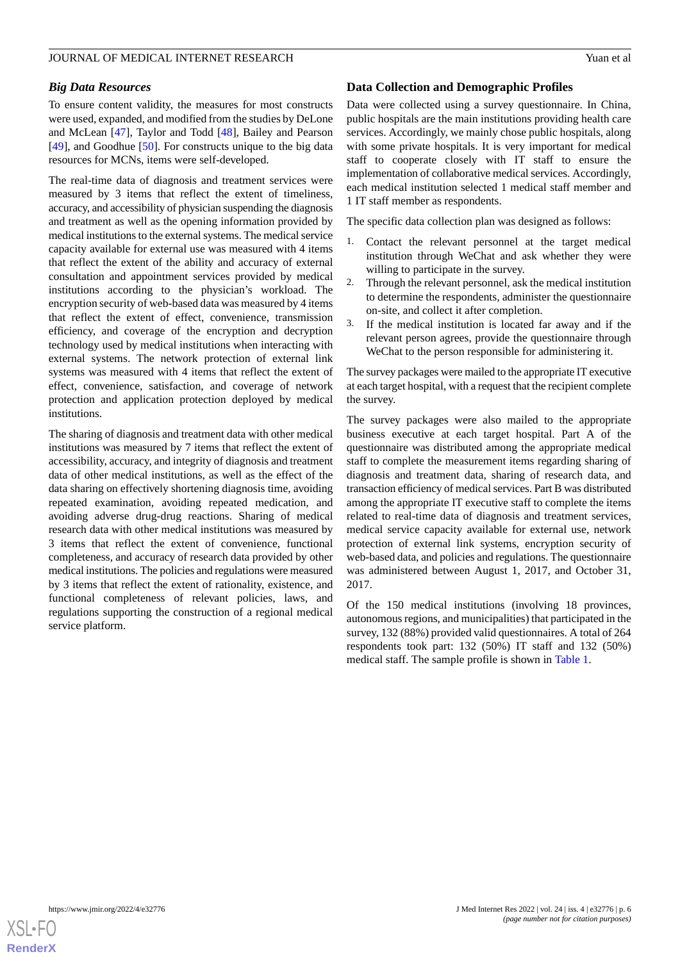# *Big Data Resources*

To ensure content validity, the measures for most constructs were used, expanded, and modified from the studies by DeLone and McLean [\[47](#page-16-15)], Taylor and Todd [[48\]](#page-16-16), Bailey and Pearson [[49\]](#page-16-17), and Goodhue [[50\]](#page-16-18). For constructs unique to the big data resources for MCNs, items were self-developed.

The real-time data of diagnosis and treatment services were measured by 3 items that reflect the extent of timeliness, accuracy, and accessibility of physician suspending the diagnosis and treatment as well as the opening information provided by medical institutions to the external systems. The medical service capacity available for external use was measured with 4 items that reflect the extent of the ability and accuracy of external consultation and appointment services provided by medical institutions according to the physician's workload. The encryption security of web-based data was measured by 4 items that reflect the extent of effect, convenience, transmission efficiency, and coverage of the encryption and decryption technology used by medical institutions when interacting with external systems. The network protection of external link systems was measured with 4 items that reflect the extent of effect, convenience, satisfaction, and coverage of network protection and application protection deployed by medical institutions.

The sharing of diagnosis and treatment data with other medical institutions was measured by 7 items that reflect the extent of accessibility, accuracy, and integrity of diagnosis and treatment data of other medical institutions, as well as the effect of the data sharing on effectively shortening diagnosis time, avoiding repeated examination, avoiding repeated medication, and avoiding adverse drug-drug reactions. Sharing of medical research data with other medical institutions was measured by 3 items that reflect the extent of convenience, functional completeness, and accuracy of research data provided by other medical institutions. The policies and regulations were measured by 3 items that reflect the extent of rationality, existence, and functional completeness of relevant policies, laws, and regulations supporting the construction of a regional medical service platform.

# **Data Collection and Demographic Profiles**

Data were collected using a survey questionnaire. In China, public hospitals are the main institutions providing health care services. Accordingly, we mainly chose public hospitals, along with some private hospitals. It is very important for medical staff to cooperate closely with IT staff to ensure the implementation of collaborative medical services. Accordingly, each medical institution selected 1 medical staff member and 1 IT staff member as respondents.

The specific data collection plan was designed as follows:

- 1. Contact the relevant personnel at the target medical institution through WeChat and ask whether they were willing to participate in the survey.
- 2. Through the relevant personnel, ask the medical institution to determine the respondents, administer the questionnaire on-site, and collect it after completion.
- 3. If the medical institution is located far away and if the relevant person agrees, provide the questionnaire through WeChat to the person responsible for administering it.

The survey packages were mailed to the appropriate IT executive at each target hospital, with a request that the recipient complete the survey.

The survey packages were also mailed to the appropriate business executive at each target hospital. Part A of the questionnaire was distributed among the appropriate medical staff to complete the measurement items regarding sharing of diagnosis and treatment data, sharing of research data, and transaction efficiency of medical services. Part B was distributed among the appropriate IT executive staff to complete the items related to real-time data of diagnosis and treatment services, medical service capacity available for external use, network protection of external link systems, encryption security of web-based data, and policies and regulations. The questionnaire was administered between August 1, 2017, and October 31, 2017.

Of the 150 medical institutions (involving 18 provinces, autonomous regions, and municipalities) that participated in the survey, 132 (88%) provided valid questionnaires. A total of 264 respondents took part: 132 (50%) IT staff and 132 (50%) medical staff. The sample profile is shown in [Table 1](#page-6-0).

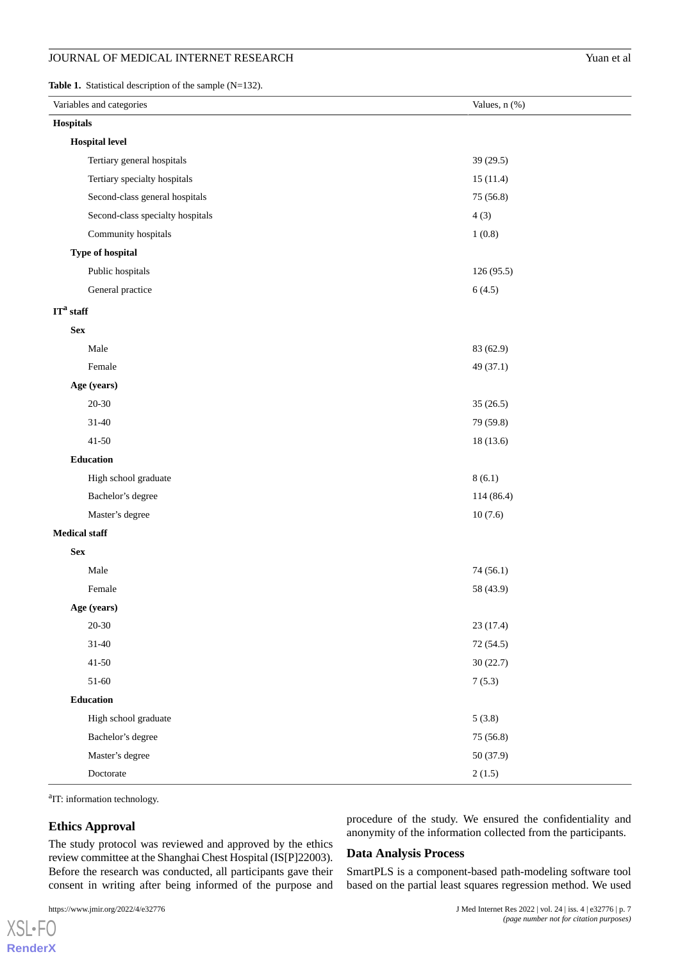<span id="page-6-0"></span>Table 1. Statistical description of the sample (N=132).

| Variables and categories         | Values, n (%) |
|----------------------------------|---------------|
| Hospitals                        |               |
| <b>Hospital level</b>            |               |
| Tertiary general hospitals       | 39 (29.5)     |
| Tertiary specialty hospitals     | 15(11.4)      |
| Second-class general hospitals   | 75 (56.8)     |
| Second-class specialty hospitals | 4(3)          |
| Community hospitals              | 1(0.8)        |
| Type of hospital                 |               |
| Public hospitals                 | 126 (95.5)    |
| General practice                 | 6(4.5)        |
| $ITa$ staff                      |               |
| <b>Sex</b>                       |               |
| Male                             | 83 (62.9)     |
| Female                           | 49 (37.1)     |
| Age (years)                      |               |
| $20 - 30$                        | 35(26.5)      |
| $31 - 40$                        | 79 (59.8)     |
| $41 - 50$                        | 18 (13.6)     |
| Education                        |               |
| High school graduate             | 8(6.1)        |
| Bachelor's degree                | 114 (86.4)    |
| Master's degree                  | 10(7.6)       |
| <b>Medical staff</b>             |               |
| ${\bf Sex}$                      |               |
| Male                             | 74 (56.1)     |
| Female                           | 58 (43.9)     |
| Age (years)                      |               |
| $20 - 30$                        | 23 (17.4)     |
| $31 - 40$                        | 72 (54.5)     |
| $41 - 50$                        | 30(22.7)      |
| $51 - 60$                        | 7(5.3)        |
| <b>Education</b>                 |               |
| High school graduate             | 5(3.8)        |
| Bachelor's degree                | 75 (56.8)     |
| Master's degree                  | 50 (37.9)     |
| Doctorate                        | 2(1.5)        |

<sup>a</sup>IT: information technology.

# **Ethics Approval**

procedure of the study. We ensured the confidentiality and anonymity of the information collected from the participants.

The study protocol was reviewed and approved by the ethics review committee at the Shanghai Chest Hospital (IS[P]22003). Before the research was conducted, all participants gave their consent in writing after being informed of the purpose and

[XSL](http://www.w3.org/Style/XSL)•FO **[RenderX](http://www.renderx.com/)** **Data Analysis Process**

SmartPLS is a component-based path-modeling software tool based on the partial least squares regression method. We used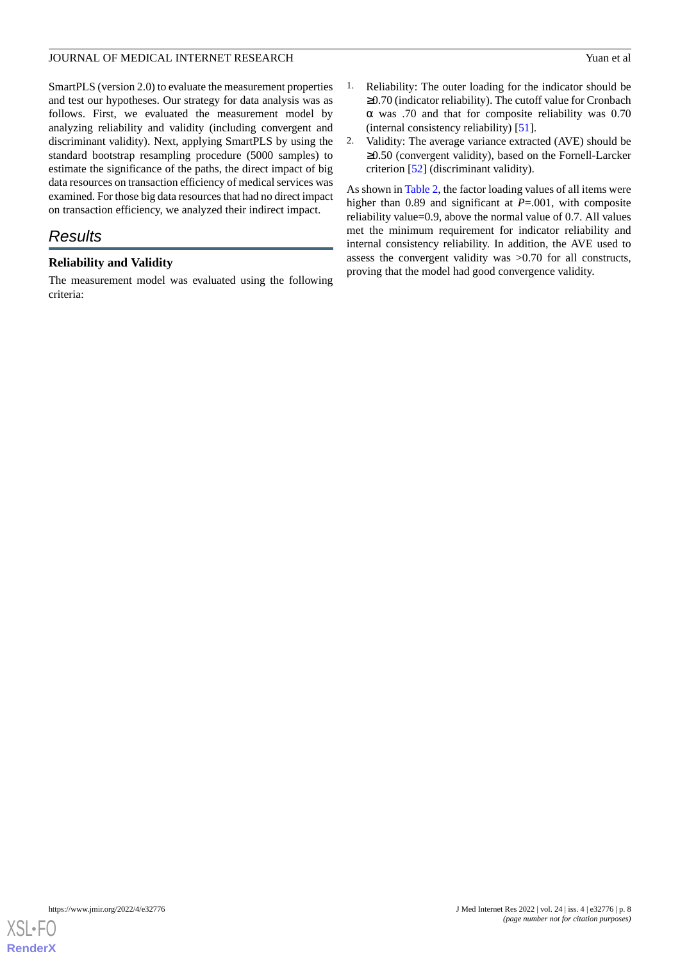# JOURNAL OF MEDICAL INTERNET RESEARCH Yuan et al. The Second State of the Second State of the Second State of the Second State of the Second State of the Second State of the Second State of the Second State of the Second St

SmartPLS (version 2.0) to evaluate the measurement properties and test our hypotheses. Our strategy for data analysis was as follows. First, we evaluated the measurement model by analyzing reliability and validity (including convergent and discriminant validity). Next, applying SmartPLS by using the standard bootstrap resampling procedure (5000 samples) to estimate the significance of the paths, the direct impact of big data resources on transaction efficiency of medical services was examined. For those big data resources that had no direct impact on transaction efficiency, we analyzed their indirect impact.

# *Results*

# **Reliability and Validity**

The measurement model was evaluated using the following criteria:

- 1. Reliability: The outer loading for the indicator should be ≥0.70 (indicator reliability). The cutoff value for Cronbach α was .70 and that for composite reliability was 0.70 (internal consistency reliability) [\[51](#page-16-19)].
- 2. Validity: The average variance extracted (AVE) should be ≥0.50 (convergent validity), based on the Fornell-Larcker criterion [\[52](#page-16-20)] (discriminant validity).

As shown in [Table 2,](#page-8-0) the factor loading values of all items were higher than 0.89 and significant at *P*=.001, with composite reliability value=0.9, above the normal value of 0.7. All values met the minimum requirement for indicator reliability and internal consistency reliability. In addition, the AVE used to assess the convergent validity was >0.70 for all constructs, proving that the model had good convergence validity.

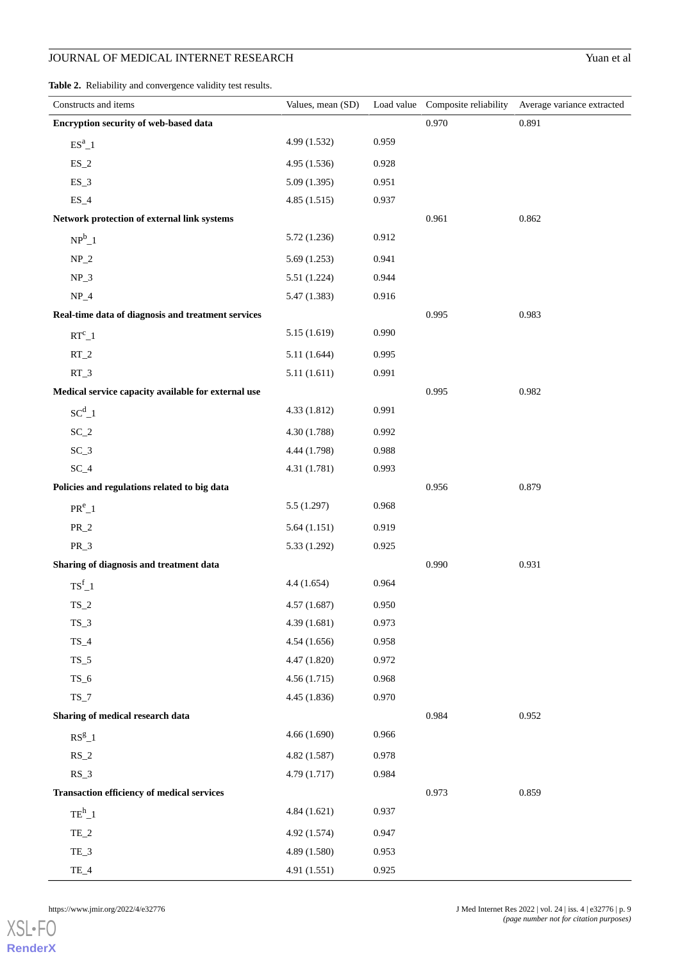<span id="page-8-0"></span>**Table 2.** Reliability and convergence validity test results.

| Constructs and items                                | Values, mean (SD) |       |       | Load value Composite reliability Average variance extracted |
|-----------------------------------------------------|-------------------|-------|-------|-------------------------------------------------------------|
| Encryption security of web-based data               |                   |       | 0.970 | 0.891                                                       |
| $ES^a\_1$                                           | 4.99 (1.532)      | 0.959 |       |                                                             |
| $ES_2$                                              | 4.95(1.536)       | 0.928 |       |                                                             |
| $ES_3$                                              | 5.09(1.395)       | 0.951 |       |                                                             |
| $ES_4$                                              | 4.85(1.515)       | 0.937 |       |                                                             |
| Network protection of external link systems         |                   |       | 0.961 | 0.862                                                       |
| $NP^b_1$                                            | 5.72 (1.236)      | 0.912 |       |                                                             |
| $NP_2$                                              | 5.69(1.253)       | 0.941 |       |                                                             |
| $NP_3$                                              | 5.51 (1.224)      | 0.944 |       |                                                             |
| $NP_4$                                              | 5.47(1.383)       | 0.916 |       |                                                             |
| Real-time data of diagnosis and treatment services  |                   |       | 0.995 | 0.983                                                       |
| $RT^c\_1$                                           | 5.15(1.619)       | 0.990 |       |                                                             |
| $RT_2$                                              | 5.11(1.644)       | 0.995 |       |                                                             |
| $RT_3$                                              | 5.11(1.611)       | 0.991 |       |                                                             |
| Medical service capacity available for external use |                   |       | 0.995 | 0.982                                                       |
| $SC^{d}$ _1                                         | 4.33 (1.812)      | 0.991 |       |                                                             |
| $SC_2$                                              | 4.30 (1.788)      | 0.992 |       |                                                             |
| $SC_3$                                              | 4.44 (1.798)      | 0.988 |       |                                                             |
| $SC_4$                                              | 4.31 (1.781)      | 0.993 |       |                                                             |
| Policies and regulations related to big data        |                   |       | 0.956 | 0.879                                                       |
| $PR^e_1$                                            | 5.5(1.297)        | 0.968 |       |                                                             |
| $PR_2$                                              | 5.64(1.151)       | 0.919 |       |                                                             |
| $PR_3$                                              | 5.33 (1.292)      | 0.925 |       |                                                             |
| Sharing of diagnosis and treatment data             |                   |       | 0.990 | 0.931                                                       |
| $\text{TS}^{\text{f}}\_1$                           | 4.4(1.654)        | 0.964 |       |                                                             |
| $TS_2$                                              | 4.57(1.687)       | 0.950 |       |                                                             |
| $TS_3$                                              | 4.39(1.681)       | 0.973 |       |                                                             |
| $TS_4$                                              | 4.54(1.656)       | 0.958 |       |                                                             |
| $TS_5$                                              | 4.47 (1.820)      | 0.972 |       |                                                             |
| $TS_6$                                              | 4.56(1.715)       | 0.968 |       |                                                             |
| $TS_7$                                              | 4.45 (1.836)      | 0.970 |       |                                                             |
| Sharing of medical research data                    |                   |       | 0.984 | 0.952                                                       |
| $RS^{g}$ _1                                         | 4.66(1.690)       | 0.966 |       |                                                             |
| $RS_2$                                              | 4.82 (1.587)      | 0.978 |       |                                                             |
| $RS_3$                                              | 4.79(1.717)       | 0.984 |       |                                                             |
| <b>Transaction efficiency of medical services</b>   |                   |       | 0.973 | 0.859                                                       |
| $\mathrm{TE}^\mathrm{h}{}_{-}1$                     | 4.84(1.621)       | 0.937 |       |                                                             |
| $TE_2$                                              | 4.92 (1.574)      | 0.947 |       |                                                             |
| TE_3                                                | 4.89 (1.580)      | 0.953 |       |                                                             |
| $TE_4$                                              | 4.91 (1.551)      | 0.925 |       |                                                             |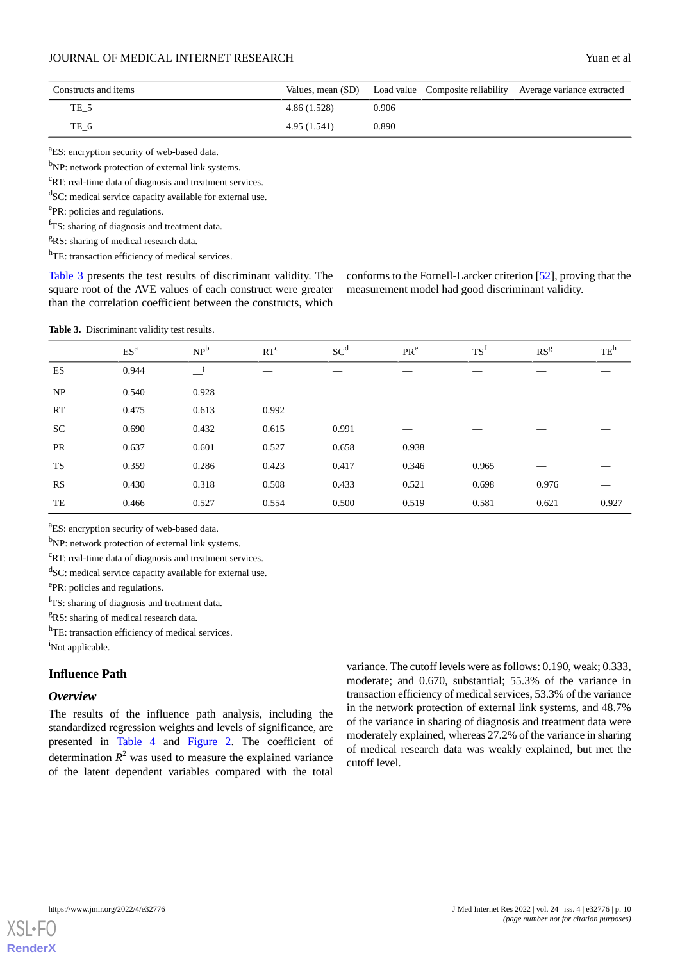| Constructs and items |              |       | Values, mean (SD) Load value Composite reliability Average variance extracted |
|----------------------|--------------|-------|-------------------------------------------------------------------------------|
| TE 5                 | 4.86 (1.528) | 0.906 |                                                                               |
| TE 6                 | 4.95 (1.541) | 0.890 |                                                                               |

<sup>a</sup>ES: encryption security of web-based data.

<sup>b</sup>NP: network protection of external link systems.

<sup>c</sup>RT: real-time data of diagnosis and treatment services.

<sup>d</sup>SC: medical service capacity available for external use.

ePR: policies and regulations.

<sup>f</sup>TS: sharing of diagnosis and treatment data.

<sup>g</sup>RS: sharing of medical research data.

h<sub>TE</sub>: transaction efficiency of medical services.

<span id="page-9-0"></span>[Table 3](#page-9-0) presents the test results of discriminant validity. The square root of the AVE values of each construct were greater than the correlation coefficient between the constructs, which

conforms to the Fornell-Larcker criterion [\[52](#page-16-20)], proving that the measurement model had good discriminant validity.

**Table 3.** Discriminant validity test results.

|           | ES <sup>a</sup> | NP <sup>b</sup>          | RT <sup>c</sup> | SC <sup>d</sup> | PR <sup>e</sup> | TS <sup>f</sup> | RS <sup>g</sup> | $TE^h$ |
|-----------|-----------------|--------------------------|-----------------|-----------------|-----------------|-----------------|-----------------|--------|
| <b>ES</b> | 0.944           | $\overline{\phantom{0}}$ |                 |                 |                 |                 |                 |        |
| NP        | 0.540           | 0.928                    |                 |                 |                 |                 |                 |        |
| <b>RT</b> | 0.475           | 0.613                    | 0.992           |                 |                 |                 |                 |        |
| <b>SC</b> | 0.690           | 0.432                    | 0.615           | 0.991           |                 |                 |                 |        |
| PR        | 0.637           | 0.601                    | 0.527           | 0.658           | 0.938           |                 |                 |        |
| TS        | 0.359           | 0.286                    | 0.423           | 0.417           | 0.346           | 0.965           |                 |        |
| <b>RS</b> | 0.430           | 0.318                    | 0.508           | 0.433           | 0.521           | 0.698           | 0.976           |        |
| TE        | 0.466           | 0.527                    | 0.554           | 0.500           | 0.519           | 0.581           | 0.621           | 0.927  |

<sup>a</sup>ES: encryption security of web-based data.

b<sub>NP</sub>: network protection of external link systems.

 $\mathrm{c}_{\mathrm{RT}}$ : real-time data of diagnosis and treatment services.

<sup>d</sup>SC: medical service capacity available for external use.

ePR: policies and regulations.

 $T$ S: sharing of diagnosis and treatment data.

<sup>g</sup>RS: sharing of medical research data.

h<sub>TE</sub>: transaction efficiency of medical services. <sup>i</sup>Not applicable.

# **Influence Path**

## *Overview*

The results of the influence path analysis, including the standardized regression weights and levels of significance, are presented in [Table 4](#page-10-0) and [Figure 2](#page-10-1). The coefficient of determination  $R^2$  was used to measure the explained variance of the latent dependent variables compared with the total variance. The cutoff levels were as follows: 0.190, weak; 0.333, moderate; and 0.670, substantial; 55.3% of the variance in transaction efficiency of medical services, 53.3% of the variance in the network protection of external link systems, and 48.7% of the variance in sharing of diagnosis and treatment data were moderately explained, whereas 27.2% of the variance in sharing of medical research data was weakly explained, but met the cutoff level.

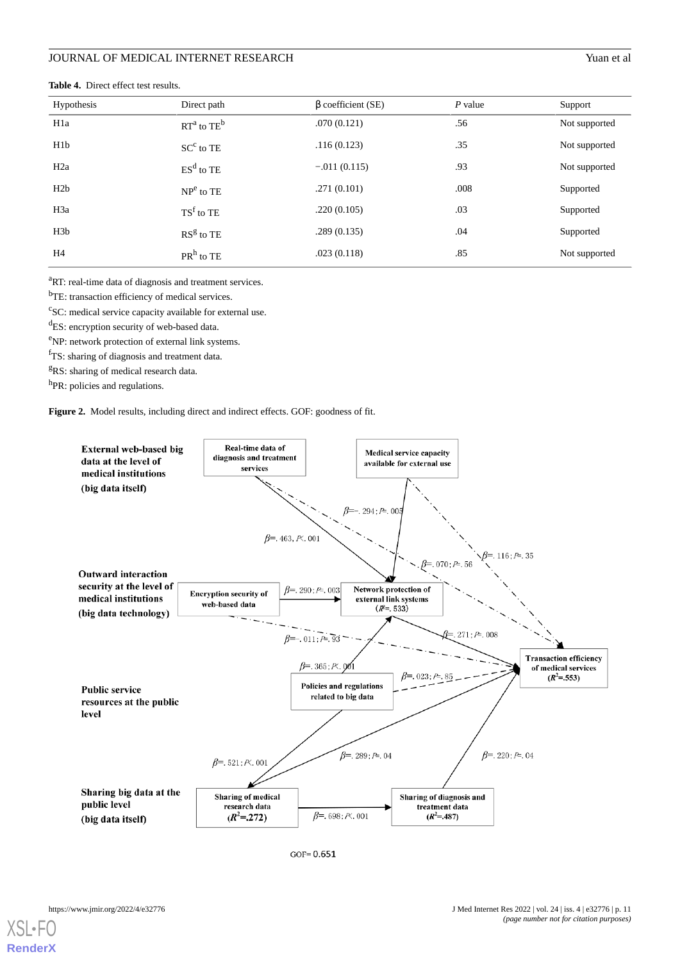| Hypothesis       | Direct path      | $\beta$ coefficient (SE) | $P$ value | Support       |
|------------------|------------------|--------------------------|-----------|---------------|
| H <sub>1</sub> a | $RT^a$ to $TE^b$ | .070(0.121)              | .56       | Not supported |
| H1b              | $SCc$ to TE      | .116(0.123)              | .35       | Not supported |
| H2a              | $ESd$ to TE      | $-.011(0.115)$           | .93       | Not supported |
| H2b              | $NPe$ to TE      | .271(0.101)              | .008      | Supported     |
| H <sub>3</sub> a | $TSf$ to TE      | .220(0.105)              | .03       | Supported     |
| H <sub>3</sub> b | $RSg$ to TE      | .289(0.135)              | .04       | Supported     |
| H <sub>4</sub>   | $PRh$ to TE      | .023(0.118)              | .85       | Not supported |

#### <span id="page-10-0"></span>**Table 4.** Direct effect test results.

<sup>a</sup>RT: real-time data of diagnosis and treatment services.

b<sub>TE:</sub> transaction efficiency of medical services.

<sup>c</sup>SC: medical service capacity available for external use.

<sup>d</sup>ES: encryption security of web-based data.

eNP: network protection of external link systems.

<sup>f</sup>TS: sharing of diagnosis and treatment data.

<span id="page-10-1"></span><sup>g</sup>RS: sharing of medical research data.

h<sub>PR</sub>: policies and regulations.

**Figure 2.** Model results, including direct and indirect effects. GOF: goodness of fit.





 $X$ SI • **[RenderX](http://www.renderx.com/)**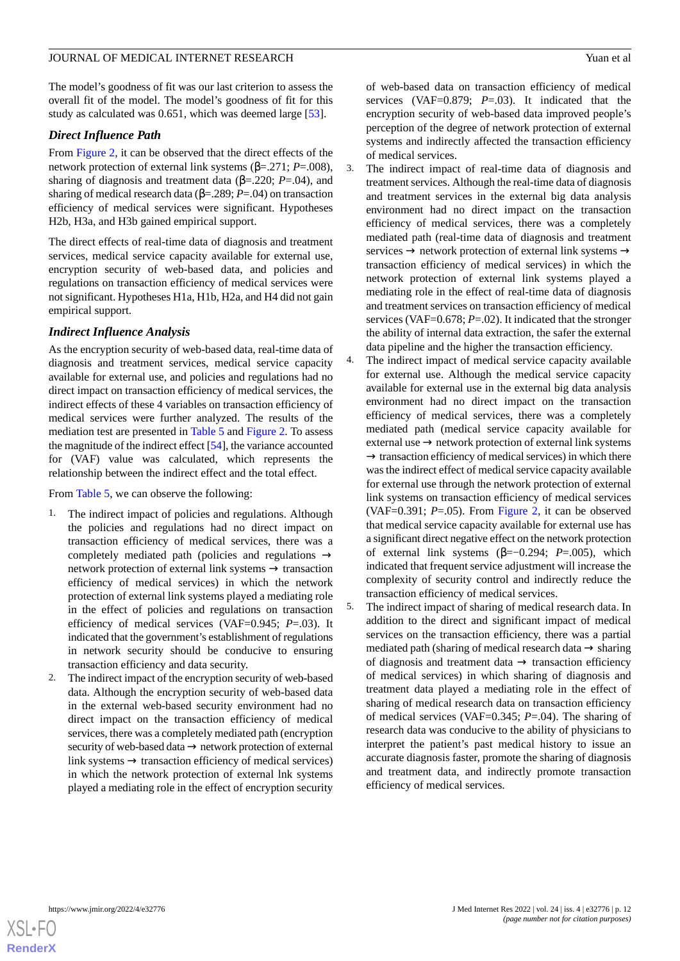The model's goodness of fit was our last criterion to assess the overall fit of the model. The model's goodness of fit for this study as calculated was 0.651, which was deemed large [\[53](#page-16-21)].

# *Direct Influence Path*

From [Figure 2,](#page-10-1) it can be observed that the direct effects of the network protection of external link systems (β=.271; *P*=.008), sharing of diagnosis and treatment data ( $\beta$ =.220; *P*=.04), and sharing of medical research data (β=.289; *P*=.04) on transaction efficiency of medical services were significant. Hypotheses H2b, H3a, and H3b gained empirical support.

The direct effects of real-time data of diagnosis and treatment services, medical service capacity available for external use, encryption security of web-based data, and policies and regulations on transaction efficiency of medical services were not significant. Hypotheses H1a, H1b, H2a, and H4 did not gain empirical support.

# *Indirect Influence Analysis*

As the encryption security of web-based data, real-time data of diagnosis and treatment services, medical service capacity available for external use, and policies and regulations had no direct impact on transaction efficiency of medical services, the indirect effects of these 4 variables on transaction efficiency of medical services were further analyzed. The results of the mediation test are presented in [Table 5](#page-12-0) and [Figure 2.](#page-10-1) To assess the magnitude of the indirect effect [\[54](#page-16-22)], the variance accounted for (VAF) value was calculated, which represents the relationship between the indirect effect and the total effect.

From [Table 5](#page-12-0), we can observe the following:

- 1. The indirect impact of policies and regulations. Although the policies and regulations had no direct impact on transaction efficiency of medical services, there was a completely mediated path (policies and regulations → network protection of external link systems → transaction efficiency of medical services) in which the network protection of external link systems played a mediating role in the effect of policies and regulations on transaction efficiency of medical services (VAF=0.945; *P*=.03). It indicated that the government's establishment of regulations in network security should be conducive to ensuring transaction efficiency and data security.
- 2. The indirect impact of the encryption security of web-based data. Although the encryption security of web-based data in the external web-based security environment had no direct impact on the transaction efficiency of medical services, there was a completely mediated path (encryption security of web-based data → network protection of external link systems  $\rightarrow$  transaction efficiency of medical services) in which the network protection of external lnk systems played a mediating role in the effect of encryption security

of web-based data on transaction efficiency of medical services (VAF=0.879; *P*=.03). It indicated that the encryption security of web-based data improved people's perception of the degree of network protection of external systems and indirectly affected the transaction efficiency of medical services.

- 3. The indirect impact of real-time data of diagnosis and treatment services. Although the real-time data of diagnosis and treatment services in the external big data analysis environment had no direct impact on the transaction efficiency of medical services, there was a completely mediated path (real-time data of diagnosis and treatment services  $\rightarrow$  network protection of external link systems  $\rightarrow$ transaction efficiency of medical services) in which the network protection of external link systems played a mediating role in the effect of real-time data of diagnosis and treatment services on transaction efficiency of medical services (VAF=0.678; *P*=.02). It indicated that the stronger the ability of internal data extraction, the safer the external data pipeline and the higher the transaction efficiency.
- 4. The indirect impact of medical service capacity available for external use. Although the medical service capacity available for external use in the external big data analysis environment had no direct impact on the transaction efficiency of medical services, there was a completely mediated path (medical service capacity available for external use → network protection of external link systems  $\rightarrow$  transaction efficiency of medical services) in which there was the indirect effect of medical service capacity available for external use through the network protection of external link systems on transaction efficiency of medical services (VAF=0.391; *P*=.05). From [Figure 2,](#page-10-1) it can be observed that medical service capacity available for external use has a significant direct negative effect on the network protection of external link systems (β=−0.294; *P*=.005), which indicated that frequent service adjustment will increase the complexity of security control and indirectly reduce the transaction efficiency of medical services.
- 5. The indirect impact of sharing of medical research data. In addition to the direct and significant impact of medical services on the transaction efficiency, there was a partial mediated path (sharing of medical research data  $\rightarrow$  sharing of diagnosis and treatment data  $\rightarrow$  transaction efficiency of medical services) in which sharing of diagnosis and treatment data played a mediating role in the effect of sharing of medical research data on transaction efficiency of medical services (VAF=0.345; *P*=.04). The sharing of research data was conducive to the ability of physicians to interpret the patient's past medical history to issue an accurate diagnosis faster, promote the sharing of diagnosis and treatment data, and indirectly promote transaction efficiency of medical services.

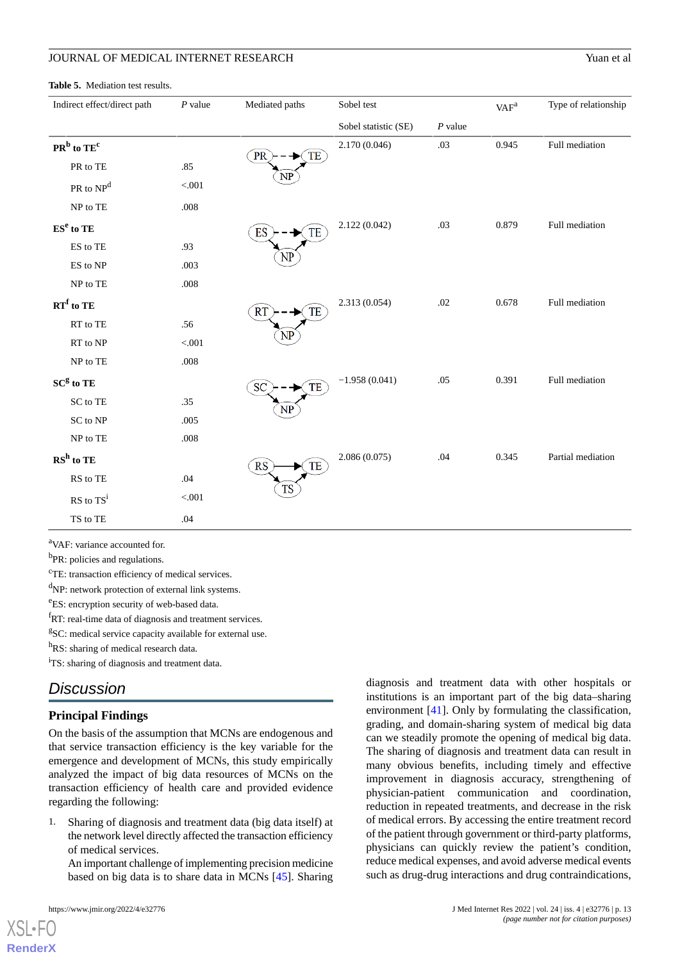#### <span id="page-12-0"></span>**Table 5.** Mediation test results.

| Indirect effect/direct path             | $P$ value | Mediated paths             | Sobel test           |                        | VAF <sup>a</sup> | Type of relationship |
|-----------------------------------------|-----------|----------------------------|----------------------|------------------------|------------------|----------------------|
|                                         |           |                            | Sobel statistic (SE) | $\boldsymbol{P}$ value |                  |                      |
| $PRb$ to $TEc$                          |           | PR<br>TE                   | 2.170 (0.046)        | .03                    | 0.945            | Full mediation       |
| PR to TE                                | .85       |                            |                      |                        |                  |                      |
| PR to NP <sup>d</sup>                   | $< 001$   | $\mathbf{NP}$              |                      |                        |                  |                      |
| NP to TE                                | .008      |                            |                      |                        |                  |                      |
| $ESe$ to TE                             |           | ES<br>TE                   | 2.122(0.042)         | .03                    | 0.879            | Full mediation       |
| ES to TE                                | .93       |                            |                      |                        |                  |                      |
| ES to NP                                | .003      | NP                         |                      |                        |                  |                      |
| NP to TE                                | .008      |                            |                      |                        |                  |                      |
| $RT^f$ to TE                            |           | <b>R<sub>T</sub></b><br>TE | 2.313 (0.054)        | .02                    | 0.678            | Full mediation       |
| RT to TE                                | .56       |                            |                      |                        |                  |                      |
| RT to NP                                | < .001    | NP                         |                      |                        |                  |                      |
| NP to TE                                | .008      |                            |                      |                        |                  |                      |
| SC <sup>g</sup> to TE                   |           | SC<br>TE                   | $-1.958(0.041)$      | .05                    | 0.391            | Full mediation       |
| SC to TE                                | .35       | NP                         |                      |                        |                  |                      |
| SC to NP                                | .005      |                            |                      |                        |                  |                      |
| NP to TE                                | $.008\,$  |                            |                      |                        |                  |                      |
| $\mathbf{R}\mathbf{S}^\mathbf{h}$ to TE |           | <b>RS</b><br>TE            | 2.086(0.075)         | .04                    | 0.345            | Partial mediation    |
| RS to TE                                | .04       |                            |                      |                        |                  |                      |
| $RS$ to $TS^i$                          | $< 0.01$  | <b>TS</b>                  |                      |                        |                  |                      |
| TS to TE                                | .04       |                            |                      |                        |                  |                      |

<sup>a</sup>VAF: variance accounted for.

<sup>b</sup>PR: policies and regulations.

<sup>c</sup>TE: transaction efficiency of medical services.

<sup>d</sup>NP: network protection of external link systems.

<sup>e</sup>ES: encryption security of web-based data.

<sup>f</sup>RT: real-time data of diagnosis and treatment services.

<sup>g</sup>SC: medical service capacity available for external use.

hRS: sharing of medical research data.

<sup>i</sup>TS: sharing of diagnosis and treatment data.

# *Discussion*

### **Principal Findings**

On the basis of the assumption that MCNs are endogenous and that service transaction efficiency is the key variable for the emergence and development of MCNs, this study empirically analyzed the impact of big data resources of MCNs on the transaction efficiency of health care and provided evidence regarding the following:

1. Sharing of diagnosis and treatment data (big data itself) at the network level directly affected the transaction efficiency of medical services.

An important challenge of implementing precision medicine based on big data is to share data in MCNs [[45\]](#page-16-13). Sharing

 $X$ SL•F $O$ **[RenderX](http://www.renderx.com/)** diagnosis and treatment data with other hospitals or institutions is an important part of the big data–sharing environment [\[41](#page-16-9)]. Only by formulating the classification, grading, and domain-sharing system of medical big data can we steadily promote the opening of medical big data. The sharing of diagnosis and treatment data can result in many obvious benefits, including timely and effective improvement in diagnosis accuracy, strengthening of physician-patient communication and coordination, reduction in repeated treatments, and decrease in the risk of medical errors. By accessing the entire treatment record of the patient through government or third-party platforms, physicians can quickly review the patient's condition, reduce medical expenses, and avoid adverse medical events such as drug-drug interactions and drug contraindications,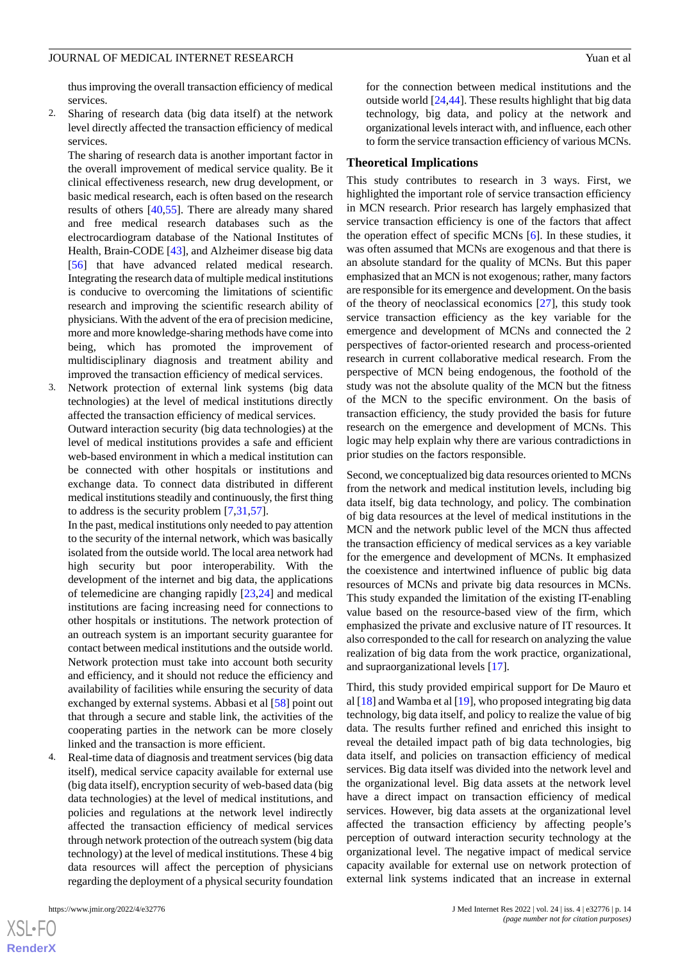thus improving the overall transaction efficiency of medical services.

2. Sharing of research data (big data itself) at the network level directly affected the transaction efficiency of medical services.

The sharing of research data is another important factor in the overall improvement of medical service quality. Be it clinical effectiveness research, new drug development, or basic medical research, each is often based on the research results of others [\[40](#page-16-8),[55\]](#page-16-23). There are already many shared and free medical research databases such as the electrocardiogram database of the National Institutes of Health, Brain-CODE [\[43](#page-16-11)], and Alzheimer disease big data [[56\]](#page-16-24) that have advanced related medical research. Integrating the research data of multiple medical institutions is conducive to overcoming the limitations of scientific research and improving the scientific research ability of physicians. With the advent of the era of precision medicine, more and more knowledge-sharing methods have come into being, which has promoted the improvement of multidisciplinary diagnosis and treatment ability and improved the transaction efficiency of medical services.

Network protection of external link systems (big data technologies) at the level of medical institutions directly affected the transaction efficiency of medical services.

Outward interaction security (big data technologies) at the level of medical institutions provides a safe and efficient web-based environment in which a medical institution can be connected with other hospitals or institutions and exchange data. To connect data distributed in different medical institutions steadily and continuously, the first thing to address is the security problem [[7](#page-15-1)[,31](#page-15-25),[57\]](#page-16-25).

In the past, medical institutions only needed to pay attention to the security of the internal network, which was basically isolated from the outside world. The local area network had high security but poor interoperability. With the development of the internet and big data, the applications of telemedicine are changing rapidly [[23](#page-15-22)[,24](#page-15-17)] and medical institutions are facing increasing need for connections to other hospitals or institutions. The network protection of an outreach system is an important security guarantee for contact between medical institutions and the outside world. Network protection must take into account both security and efficiency, and it should not reduce the efficiency and availability of facilities while ensuring the security of data exchanged by external systems. Abbasi et al [\[58](#page-16-26)] point out that through a secure and stable link, the activities of the cooperating parties in the network can be more closely linked and the transaction is more efficient.

4. Real-time data of diagnosis and treatment services (big data itself), medical service capacity available for external use (big data itself), encryption security of web-based data (big data technologies) at the level of medical institutions, and policies and regulations at the network level indirectly affected the transaction efficiency of medical services through network protection of the outreach system (big data technology) at the level of medical institutions. These 4 big data resources will affect the perception of physicians regarding the deployment of a physical security foundation

 $XSI - F($ **[RenderX](http://www.renderx.com/)** for the connection between medical institutions and the outside world [\[24](#page-15-17)[,44](#page-16-12)]. These results highlight that big data technology, big data, and policy at the network and organizational levels interact with, and influence, each other to form the service transaction efficiency of various MCNs.

#### **Theoretical Implications**

This study contributes to research in 3 ways. First, we highlighted the important role of service transaction efficiency in MCN research. Prior research has largely emphasized that service transaction efficiency is one of the factors that affect the operation effect of specific MCNs [\[6\]](#page-15-0). In these studies, it was often assumed that MCNs are exogenous and that there is an absolute standard for the quality of MCNs. But this paper emphasized that an MCN is not exogenous; rather, many factors are responsible for its emergence and development. On the basis of the theory of neoclassical economics [[27\]](#page-15-20), this study took service transaction efficiency as the key variable for the emergence and development of MCNs and connected the 2 perspectives of factor-oriented research and process-oriented research in current collaborative medical research. From the perspective of MCN being endogenous, the foothold of the study was not the absolute quality of the MCN but the fitness of the MCN to the specific environment. On the basis of transaction efficiency, the study provided the basis for future research on the emergence and development of MCNs. This logic may help explain why there are various contradictions in prior studies on the factors responsible.

Second, we conceptualized big data resources oriented to MCNs from the network and medical institution levels, including big data itself, big data technology, and policy. The combination of big data resources at the level of medical institutions in the MCN and the network public level of the MCN thus affected the transaction efficiency of medical services as a key variable for the emergence and development of MCNs. It emphasized the coexistence and intertwined influence of public big data resources of MCNs and private big data resources in MCNs. This study expanded the limitation of the existing IT-enabling value based on the resource-based view of the firm, which emphasized the private and exclusive nature of IT resources. It also corresponded to the call for research on analyzing the value realization of big data from the work practice, organizational, and supraorganizational levels [\[17](#page-15-11)].

Third, this study provided empirical support for De Mauro et al [\[18](#page-15-12)] and Wamba et al [\[19](#page-15-13)], who proposed integrating big data technology, big data itself, and policy to realize the value of big data. The results further refined and enriched this insight to reveal the detailed impact path of big data technologies, big data itself, and policies on transaction efficiency of medical services. Big data itself was divided into the network level and the organizational level. Big data assets at the network level have a direct impact on transaction efficiency of medical services. However, big data assets at the organizational level affected the transaction efficiency by affecting people's perception of outward interaction security technology at the organizational level. The negative impact of medical service capacity available for external use on network protection of external link systems indicated that an increase in external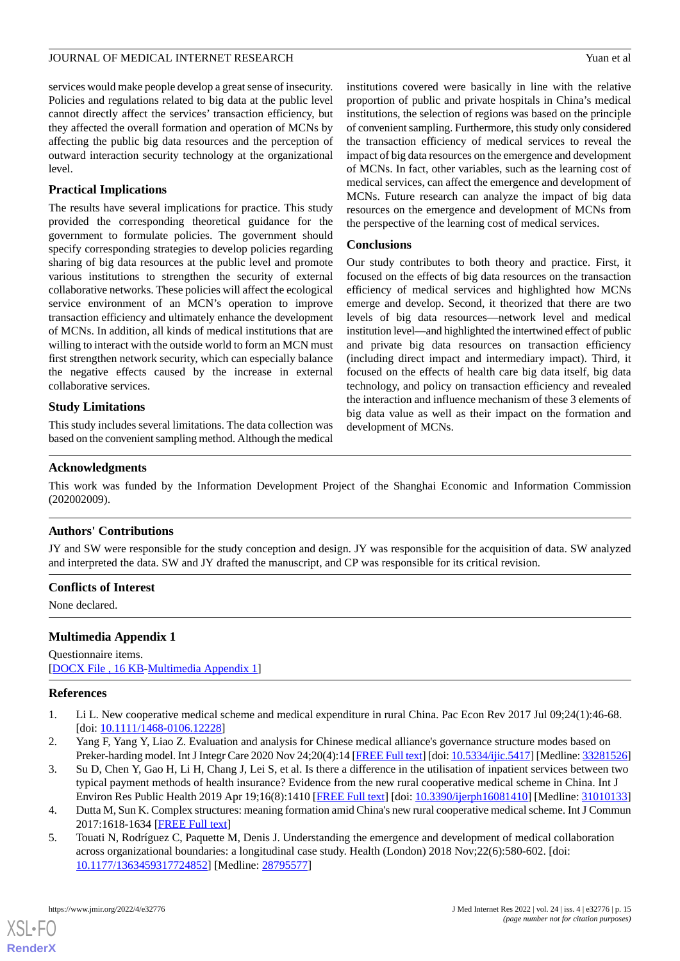services would make people develop a great sense of insecurity. Policies and regulations related to big data at the public level cannot directly affect the services' transaction efficiency, but they affected the overall formation and operation of MCNs by affecting the public big data resources and the perception of outward interaction security technology at the organizational level.

# **Practical Implications**

The results have several implications for practice. This study provided the corresponding theoretical guidance for the government to formulate policies. The government should specify corresponding strategies to develop policies regarding sharing of big data resources at the public level and promote various institutions to strengthen the security of external collaborative networks. These policies will affect the ecological service environment of an MCN's operation to improve transaction efficiency and ultimately enhance the development of MCNs. In addition, all kinds of medical institutions that are willing to interact with the outside world to form an MCN must first strengthen network security, which can especially balance the negative effects caused by the increase in external collaborative services.

# **Study Limitations**

This study includes several limitations. The data collection was based on the convenient sampling method. Although the medical institutions covered were basically in line with the relative proportion of public and private hospitals in China's medical institutions, the selection of regions was based on the principle of convenient sampling. Furthermore, this study only considered the transaction efficiency of medical services to reveal the impact of big data resources on the emergence and development of MCNs. In fact, other variables, such as the learning cost of medical services, can affect the emergence and development of MCNs. Future research can analyze the impact of big data resources on the emergence and development of MCNs from the perspective of the learning cost of medical services.

# **Conclusions**

Our study contributes to both theory and practice. First, it focused on the effects of big data resources on the transaction efficiency of medical services and highlighted how MCNs emerge and develop. Second, it theorized that there are two levels of big data resources—network level and medical institution level—and highlighted the intertwined effect of public and private big data resources on transaction efficiency (including direct impact and intermediary impact). Third, it focused on the effects of health care big data itself, big data technology, and policy on transaction efficiency and revealed the interaction and influence mechanism of these 3 elements of big data value as well as their impact on the formation and development of MCNs.

# **Acknowledgments**

This work was funded by the Information Development Project of the Shanghai Economic and Information Commission (202002009).

# **Authors' Contributions**

JY and SW were responsible for the study conception and design. JY was responsible for the acquisition of data. SW analyzed and interpreted the data. SW and JY drafted the manuscript, and CP was responsible for its critical revision.

# <span id="page-14-5"></span>**Conflicts of Interest**

None declared.

# <span id="page-14-0"></span>**Multimedia Appendix 1**

<span id="page-14-1"></span>Questionnaire items. [[DOCX File , 16 KB](https://jmir.org/api/download?alt_name=jmir_v24i4e32776_app1.docx&filename=66e3e7584e668a4b974bfda71c4887c6.docx)-[Multimedia Appendix 1\]](https://jmir.org/api/download?alt_name=jmir_v24i4e32776_app1.docx&filename=66e3e7584e668a4b974bfda71c4887c6.docx)

### <span id="page-14-2"></span>**References**

- 1. Li L. New cooperative medical scheme and medical expenditure in rural China. Pac Econ Rev 2017 Jul 09;24(1):46-68. [doi: [10.1111/1468-0106.12228](http://dx.doi.org/10.1111/1468-0106.12228)]
- <span id="page-14-4"></span><span id="page-14-3"></span>2. Yang F, Yang Y, Liao Z. Evaluation and analysis for Chinese medical alliance's governance structure modes based on Preker-harding model. Int J Integr Care 2020 Nov 24;20(4):14 [[FREE Full text\]](http://europepmc.org/abstract/MED/33281526) [doi: [10.5334/ijic.5417](http://dx.doi.org/10.5334/ijic.5417)] [Medline: [33281526\]](http://www.ncbi.nlm.nih.gov/entrez/query.fcgi?cmd=Retrieve&db=PubMed&list_uids=33281526&dopt=Abstract)
- 3. Su D, Chen Y, Gao H, Li H, Chang J, Lei S, et al. Is there a difference in the utilisation of inpatient services between two typical payment methods of health insurance? Evidence from the new rural cooperative medical scheme in China. Int J Environ Res Public Health 2019 Apr 19;16(8):1410 [\[FREE Full text\]](https://www.mdpi.com/resolver?pii=ijerph16081410) [doi: [10.3390/ijerph16081410](http://dx.doi.org/10.3390/ijerph16081410)] [Medline: [31010133](http://www.ncbi.nlm.nih.gov/entrez/query.fcgi?cmd=Retrieve&db=PubMed&list_uids=31010133&dopt=Abstract)]
- 4. Dutta M, Sun K. Complex structures: meaning formation amid China's new rural cooperative medical scheme. Int J Commun 2017:1618-1634 [\[FREE Full text\]](http://ijoc.org/index.php/ijoc/article/download/4670/1996)
- 5. Touati N, Rodríguez C, Paquette M, Denis J. Understanding the emergence and development of medical collaboration across organizational boundaries: a longitudinal case study. Health (London) 2018 Nov;22(6):580-602. [doi: [10.1177/1363459317724852\]](http://dx.doi.org/10.1177/1363459317724852) [Medline: [28795577\]](http://www.ncbi.nlm.nih.gov/entrez/query.fcgi?cmd=Retrieve&db=PubMed&list_uids=28795577&dopt=Abstract)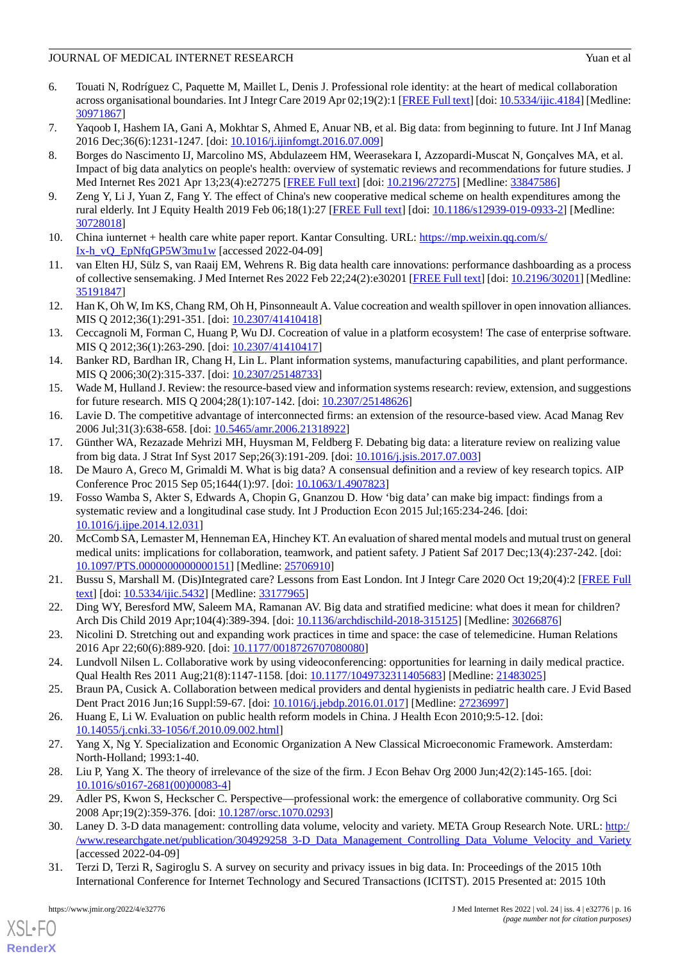# JOURNAL OF MEDICAL INTERNET RESEARCH Yuan et al. Yuan et al.

- <span id="page-15-0"></span>6. Touati N, Rodríguez C, Paquette M, Maillet L, Denis J. Professional role identity: at the heart of medical collaboration across organisational boundaries. Int J Integr Care 2019 Apr 02;19(2):1 [\[FREE Full text\]](http://europepmc.org/abstract/MED/30971867) [doi: [10.5334/ijic.4184](http://dx.doi.org/10.5334/ijic.4184)] [Medline: [30971867](http://www.ncbi.nlm.nih.gov/entrez/query.fcgi?cmd=Retrieve&db=PubMed&list_uids=30971867&dopt=Abstract)]
- <span id="page-15-2"></span><span id="page-15-1"></span>7. Yaqoob I, Hashem IA, Gani A, Mokhtar S, Ahmed E, Anuar NB, et al. Big data: from beginning to future. Int J Inf Manag 2016 Dec;36(6):1231-1247. [doi: [10.1016/j.ijinfomgt.2016.07.009](http://dx.doi.org/10.1016/j.ijinfomgt.2016.07.009)]
- 8. Borges do Nascimento IJ, Marcolino MS, Abdulazeem HM, Weerasekara I, Azzopardi-Muscat N, Gonçalves MA, et al. Impact of big data analytics on people's health: overview of systematic reviews and recommendations for future studies. J Med Internet Res 2021 Apr 13;23(4):e27275 [[FREE Full text\]](https://www.jmir.org/2021/4/e27275/) [doi: [10.2196/27275](http://dx.doi.org/10.2196/27275)] [Medline: [33847586](http://www.ncbi.nlm.nih.gov/entrez/query.fcgi?cmd=Retrieve&db=PubMed&list_uids=33847586&dopt=Abstract)]
- <span id="page-15-4"></span><span id="page-15-3"></span>9. Zeng Y, Li J, Yuan Z, Fang Y. The effect of China's new cooperative medical scheme on health expenditures among the rural elderly. Int J Equity Health 2019 Feb 06;18(1):27 [\[FREE Full text\]](https://equityhealthj.biomedcentral.com/articles/10.1186/s12939-019-0933-2) [doi: [10.1186/s12939-019-0933-2](http://dx.doi.org/10.1186/s12939-019-0933-2)] [Medline: [30728018](http://www.ncbi.nlm.nih.gov/entrez/query.fcgi?cmd=Retrieve&db=PubMed&list_uids=30728018&dopt=Abstract)]
- <span id="page-15-5"></span>10. China iunternet + health care white paper report. Kantar Consulting. URL: [https://mp.weixin.qq.com/s/](https://mp.weixin.qq.com/s/Ix-h_vQ_EpNfqGP5W3mu1w) [Ix-h\\_vQ\\_EpNfqGP5W3mu1w](https://mp.weixin.qq.com/s/Ix-h_vQ_EpNfqGP5W3mu1w) [accessed 2022-04-09]
- <span id="page-15-6"></span>11. van Elten HJ, Sülz S, van Raaij EM, Wehrens R. Big data health care innovations: performance dashboarding as a process of collective sensemaking. J Med Internet Res 2022 Feb 22;24(2):e30201 [[FREE Full text](https://www.jmir.org/2022/2/e30201/)] [doi: [10.2196/30201\]](http://dx.doi.org/10.2196/30201) [Medline: [35191847](http://www.ncbi.nlm.nih.gov/entrez/query.fcgi?cmd=Retrieve&db=PubMed&list_uids=35191847&dopt=Abstract)]
- <span id="page-15-7"></span>12. Han K, Oh W, Im KS, Chang RM, Oh H, Pinsonneault A. Value cocreation and wealth spillover in open innovation alliances. MIS Q 2012;36(1):291-351. [doi: [10.2307/41410418\]](http://dx.doi.org/10.2307/41410418)
- <span id="page-15-8"></span>13. Ceccagnoli M, Forman C, Huang P, Wu DJ. Cocreation of value in a platform ecosystem! The case of enterprise software. MIS Q 2012;36(1):263-290. [doi: [10.2307/41410417\]](http://dx.doi.org/10.2307/41410417)
- <span id="page-15-9"></span>14. Banker RD, Bardhan IR, Chang H, Lin L. Plant information systems, manufacturing capabilities, and plant performance. MIS Q 2006;30(2):315-337. [doi: [10.2307/25148733\]](http://dx.doi.org/10.2307/25148733)
- <span id="page-15-11"></span><span id="page-15-10"></span>15. Wade M, Hulland J. Review: the resource-based view and information systems research: review, extension, and suggestions for future research. MIS Q 2004;28(1):107-142. [doi: [10.2307/25148626\]](http://dx.doi.org/10.2307/25148626)
- <span id="page-15-12"></span>16. Lavie D. The competitive advantage of interconnected firms: an extension of the resource-based view. Acad Manag Rev 2006 Jul;31(3):638-658. [doi: [10.5465/amr.2006.21318922\]](http://dx.doi.org/10.5465/amr.2006.21318922)
- <span id="page-15-13"></span>17. Günther WA, Rezazade Mehrizi MH, Huysman M, Feldberg F. Debating big data: a literature review on realizing value from big data. J Strat Inf Syst 2017 Sep;26(3):191-209. [doi: [10.1016/j.jsis.2017.07.003\]](http://dx.doi.org/10.1016/j.jsis.2017.07.003)
- 18. De Mauro A, Greco M, Grimaldi M. What is big data? A consensual definition and a review of key research topics. AIP Conference Proc 2015 Sep 05;1644(1):97. [doi: [10.1063/1.4907823](http://dx.doi.org/10.1063/1.4907823)]
- <span id="page-15-14"></span>19. Fosso Wamba S, Akter S, Edwards A, Chopin G, Gnanzou D. How 'big data' can make big impact: findings from a systematic review and a longitudinal case study. Int J Production Econ 2015 Jul;165:234-246. [doi: [10.1016/j.ijpe.2014.12.031\]](http://dx.doi.org/10.1016/j.ijpe.2014.12.031)
- <span id="page-15-16"></span><span id="page-15-15"></span>20. McComb SA, Lemaster M, Henneman EA, Hinchey KT. An evaluation of shared mental models and mutual trust on general medical units: implications for collaboration, teamwork, and patient safety. J Patient Saf 2017 Dec;13(4):237-242. [doi: [10.1097/PTS.0000000000000151\]](http://dx.doi.org/10.1097/PTS.0000000000000151) [Medline: [25706910](http://www.ncbi.nlm.nih.gov/entrez/query.fcgi?cmd=Retrieve&db=PubMed&list_uids=25706910&dopt=Abstract)]
- <span id="page-15-22"></span>21. Bussu S, Marshall M. (Dis)Integrated care? Lessons from East London. Int J Integr Care 2020 Oct 19;20(4):2 [[FREE Full](http://europepmc.org/abstract/MED/33177965) [text](http://europepmc.org/abstract/MED/33177965)] [doi: [10.5334/ijic.5432](http://dx.doi.org/10.5334/ijic.5432)] [Medline: [33177965\]](http://www.ncbi.nlm.nih.gov/entrez/query.fcgi?cmd=Retrieve&db=PubMed&list_uids=33177965&dopt=Abstract)
- <span id="page-15-18"></span><span id="page-15-17"></span>22. Ding WY, Beresford MW, Saleem MA, Ramanan AV. Big data and stratified medicine: what does it mean for children? Arch Dis Child 2019 Apr;104(4):389-394. [doi: [10.1136/archdischild-2018-315125\]](http://dx.doi.org/10.1136/archdischild-2018-315125) [Medline: [30266876\]](http://www.ncbi.nlm.nih.gov/entrez/query.fcgi?cmd=Retrieve&db=PubMed&list_uids=30266876&dopt=Abstract)
- <span id="page-15-19"></span>23. Nicolini D. Stretching out and expanding work practices in time and space: the case of telemedicine. Human Relations 2016 Apr 22;60(6):889-920. [doi: [10.1177/0018726707080080](http://dx.doi.org/10.1177/0018726707080080)]
- <span id="page-15-20"></span>24. Lundvoll Nilsen L. Collaborative work by using videoconferencing: opportunities for learning in daily medical practice. Qual Health Res 2011 Aug;21(8):1147-1158. [doi: [10.1177/1049732311405683](http://dx.doi.org/10.1177/1049732311405683)] [Medline: [21483025\]](http://www.ncbi.nlm.nih.gov/entrez/query.fcgi?cmd=Retrieve&db=PubMed&list_uids=21483025&dopt=Abstract)
- <span id="page-15-21"></span>25. Braun PA, Cusick A. Collaboration between medical providers and dental hygienists in pediatric health care. J Evid Based Dent Pract 2016 Jun;16 Suppl:59-67. [doi: [10.1016/j.jebdp.2016.01.017](http://dx.doi.org/10.1016/j.jebdp.2016.01.017)] [Medline: [27236997](http://www.ncbi.nlm.nih.gov/entrez/query.fcgi?cmd=Retrieve&db=PubMed&list_uids=27236997&dopt=Abstract)]
- <span id="page-15-23"></span>26. Huang E, Li W. Evaluation on public health reform models in China. J Health Econ 2010;9:5-12. [doi: [10.14055/j.cnki.33-1056/f.2010.09.002.html\]](http://dx.doi.org/10.14055/j.cnki.33-1056/f.2010.09.002.html)
- <span id="page-15-24"></span>27. Yang X, Ng Y. Specialization and Economic Organization A New Classical Microeconomic Framework. Amsterdam: North-Holland; 1993:1-40.
- <span id="page-15-25"></span>28. Liu P, Yang X. The theory of irrelevance of the size of the firm. J Econ Behav Org 2000 Jun;42(2):145-165. [doi: [10.1016/s0167-2681\(00\)00083-4](http://dx.doi.org/10.1016/s0167-2681(00)00083-4)]
- 29. Adler PS, Kwon S, Heckscher C. Perspective—professional work: the emergence of collaborative community. Org Sci 2008 Apr;19(2):359-376. [doi: [10.1287/orsc.1070.0293](http://dx.doi.org/10.1287/orsc.1070.0293)]
- 30. Laney D. 3-D data management: controlling data volume, velocity and variety. META Group Research Note. URL: [http:/](http://www.researchgate.net/publication/304929258_3-D_Data_Management_Controlling_Data_Volume_Velocity_and_Variety) [/www.researchgate.net/publication/304929258\\_3-D\\_Data\\_Management\\_Controlling\\_Data\\_Volume\\_Velocity\\_and\\_Variety](http://www.researchgate.net/publication/304929258_3-D_Data_Management_Controlling_Data_Volume_Velocity_and_Variety) [accessed 2022-04-09]
- 31. Terzi D, Terzi R, Sagiroglu S. A survey on security and privacy issues in big data. In: Proceedings of the 2015 10th International Conference for Internet Technology and Secured Transactions (ICITST). 2015 Presented at: 2015 10th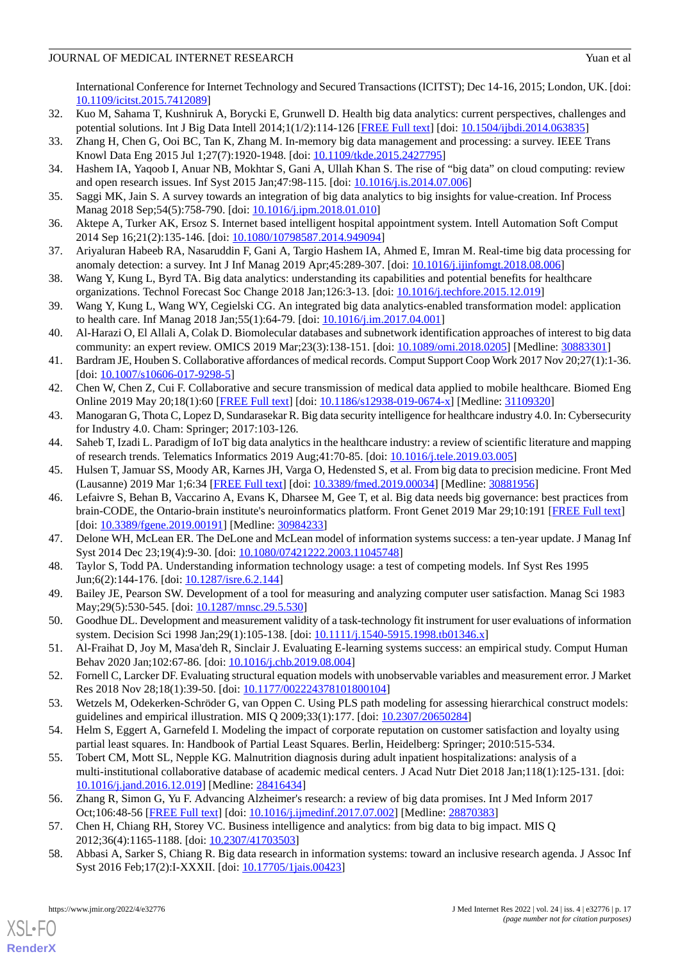# JOURNAL OF MEDICAL INTERNET RESEARCH Yuan et al. Yuan et al.

International Conference for Internet Technology and Secured Transactions (ICITST); Dec 14-16, 2015; London, UK. [doi: [10.1109/icitst.2015.7412089](http://dx.doi.org/10.1109/icitst.2015.7412089)]

- <span id="page-16-1"></span><span id="page-16-0"></span>32. Kuo M, Sahama T, Kushniruk A, Borycki E, Grunwell D. Health big data analytics: current perspectives, challenges and potential solutions. Int J Big Data Intell 2014;1(1/2):114-126 [\[FREE Full text\]](http://refhub.elsevier.com/S1386-5056(16)30255-6/sbref0040) [doi: [10.1504/ijbdi.2014.063835](http://dx.doi.org/10.1504/ijbdi.2014.063835)]
- <span id="page-16-2"></span>33. Zhang H, Chen G, Ooi BC, Tan K, Zhang M. In-memory big data management and processing: a survey. IEEE Trans Knowl Data Eng 2015 Jul 1;27(7):1920-1948. [doi: [10.1109/tkde.2015.2427795](http://dx.doi.org/10.1109/tkde.2015.2427795)]
- <span id="page-16-3"></span>34. Hashem IA, Yaqoob I, Anuar NB, Mokhtar S, Gani A, Ullah Khan S. The rise of "big data" on cloud computing: review and open research issues. Inf Syst 2015 Jan;47:98-115. [doi: [10.1016/j.is.2014.07.006\]](http://dx.doi.org/10.1016/j.is.2014.07.006)
- <span id="page-16-4"></span>35. Saggi MK, Jain S. A survey towards an integration of big data analytics to big insights for value-creation. Inf Process Manag 2018 Sep;54(5):758-790. [doi: [10.1016/j.ipm.2018.01.010\]](http://dx.doi.org/10.1016/j.ipm.2018.01.010)
- <span id="page-16-5"></span>36. Aktepe A, Turker AK, Ersoz S. Internet based intelligent hospital appointment system. Intell Automation Soft Comput 2014 Sep 16;21(2):135-146. [doi: [10.1080/10798587.2014.949094\]](http://dx.doi.org/10.1080/10798587.2014.949094)
- <span id="page-16-6"></span>37. Ariyaluran Habeeb RA, Nasaruddin F, Gani A, Targio Hashem IA, Ahmed E, Imran M. Real-time big data processing for anomaly detection: a survey. Int J Inf Manag 2019 Apr;45:289-307. [doi: [10.1016/j.ijinfomgt.2018.08.006](http://dx.doi.org/10.1016/j.ijinfomgt.2018.08.006)]
- <span id="page-16-7"></span>38. Wang Y, Kung L, Byrd TA. Big data analytics: understanding its capabilities and potential benefits for healthcare organizations. Technol Forecast Soc Change 2018 Jan;126:3-13. [doi: [10.1016/j.techfore.2015.12.019\]](http://dx.doi.org/10.1016/j.techfore.2015.12.019)
- <span id="page-16-8"></span>39. Wang Y, Kung L, Wang WY, Cegielski CG. An integrated big data analytics-enabled transformation model: application to health care. Inf Manag 2018 Jan;55(1):64-79. [doi: [10.1016/j.im.2017.04.001](http://dx.doi.org/10.1016/j.im.2017.04.001)]
- <span id="page-16-9"></span>40. Al-Harazi O, El Allali A, Colak D. Biomolecular databases and subnetwork identification approaches of interest to big data community: an expert review. OMICS 2019 Mar;23(3):138-151. [doi: [10.1089/omi.2018.0205\]](http://dx.doi.org/10.1089/omi.2018.0205) [Medline: [30883301\]](http://www.ncbi.nlm.nih.gov/entrez/query.fcgi?cmd=Retrieve&db=PubMed&list_uids=30883301&dopt=Abstract)
- <span id="page-16-11"></span><span id="page-16-10"></span>41. Bardram JE, Houben S. Collaborative affordances of medical records. Comput Support Coop Work 2017 Nov 20;27(1):1-36. [doi: [10.1007/s10606-017-9298-5](http://dx.doi.org/10.1007/s10606-017-9298-5)]
- <span id="page-16-12"></span>42. Chen W, Chen Z, Cui F. Collaborative and secure transmission of medical data applied to mobile healthcare. Biomed Eng Online 2019 May 20;18(1):60 [[FREE Full text](https://biomedical-engineering-online.biomedcentral.com/articles/10.1186/s12938-019-0674-x)] [doi: [10.1186/s12938-019-0674-x](http://dx.doi.org/10.1186/s12938-019-0674-x)] [Medline: [31109320](http://www.ncbi.nlm.nih.gov/entrez/query.fcgi?cmd=Retrieve&db=PubMed&list_uids=31109320&dopt=Abstract)]
- <span id="page-16-13"></span>43. Manogaran G, Thota C, Lopez D, Sundarasekar R. Big data security intelligence for healthcare industry 4.0. In: Cybersecurity for Industry 4.0. Cham: Springer; 2017:103-126.
- <span id="page-16-14"></span>44. Saheb T, Izadi L. Paradigm of IoT big data analytics in the healthcare industry: a review of scientific literature and mapping of research trends. Telematics Informatics 2019 Aug;41:70-85. [doi: [10.1016/j.tele.2019.03.005](http://dx.doi.org/10.1016/j.tele.2019.03.005)]
- 45. Hulsen T, Jamuar SS, Moody AR, Karnes JH, Varga O, Hedensted S, et al. From big data to precision medicine. Front Med (Lausanne) 2019 Mar 1;6:34 [\[FREE Full text\]](https://doi.org/10.3389/fmed.2019.00034) [doi: [10.3389/fmed.2019.00034](http://dx.doi.org/10.3389/fmed.2019.00034)] [Medline: [30881956](http://www.ncbi.nlm.nih.gov/entrez/query.fcgi?cmd=Retrieve&db=PubMed&list_uids=30881956&dopt=Abstract)]
- <span id="page-16-16"></span><span id="page-16-15"></span>46. Lefaivre S, Behan B, Vaccarino A, Evans K, Dharsee M, Gee T, et al. Big data needs big governance: best practices from brain-CODE, the Ontario-brain institute's neuroinformatics platform. Front Genet 2019 Mar 29;10:191 [[FREE Full text\]](https://doi.org/10.3389/fgene.2019.00191) [doi: [10.3389/fgene.2019.00191](http://dx.doi.org/10.3389/fgene.2019.00191)] [Medline: [30984233](http://www.ncbi.nlm.nih.gov/entrez/query.fcgi?cmd=Retrieve&db=PubMed&list_uids=30984233&dopt=Abstract)]
- <span id="page-16-17"></span>47. Delone WH, McLean ER. The DeLone and McLean model of information systems success: a ten-year update. J Manag Inf Syst 2014 Dec 23;19(4):9-30. [doi: [10.1080/07421222.2003.11045748\]](http://dx.doi.org/10.1080/07421222.2003.11045748)
- <span id="page-16-18"></span>48. Taylor S, Todd PA. Understanding information technology usage: a test of competing models. Inf Syst Res 1995 Jun;6(2):144-176. [doi: [10.1287/isre.6.2.144\]](http://dx.doi.org/10.1287/isre.6.2.144)
- <span id="page-16-19"></span>49. Bailey JE, Pearson SW. Development of a tool for measuring and analyzing computer user satisfaction. Manag Sci 1983 May; 29(5): 530-545. [doi: 10.1287/mnsc. 29.5.530]
- <span id="page-16-21"></span><span id="page-16-20"></span>50. Goodhue DL. Development and measurement validity of a task-technology fit instrument for user evaluations of information system. Decision Sci 1998 Jan; 29(1): 105-138. [doi: [10.1111/j.1540-5915.1998.tb01346.x\]](http://dx.doi.org/10.1111/j.1540-5915.1998.tb01346.x)
- <span id="page-16-22"></span>51. Al-Fraihat D, Joy M, Masa'deh R, Sinclair J. Evaluating E-learning systems success: an empirical study. Comput Human Behav 2020 Jan;102:67-86. [doi: [10.1016/j.chb.2019.08.004\]](http://dx.doi.org/10.1016/j.chb.2019.08.004)
- <span id="page-16-23"></span>52. Fornell C, Larcker DF. Evaluating structural equation models with unobservable variables and measurement error. J Market Res 2018 Nov 28;18(1):39-50. [doi: [10.1177/002224378101800104](http://dx.doi.org/10.1177/002224378101800104)]
- 53. Wetzels M, Odekerken-Schröder G, van Oppen C. Using PLS path modeling for assessing hierarchical construct models: guidelines and empirical illustration. MIS Q 2009;33(1):177. [doi: [10.2307/20650284\]](http://dx.doi.org/10.2307/20650284)
- <span id="page-16-25"></span><span id="page-16-24"></span>54. Helm S, Eggert A, Garnefeld I. Modeling the impact of corporate reputation on customer satisfaction and loyalty using partial least squares. In: Handbook of Partial Least Squares. Berlin, Heidelberg: Springer; 2010:515-534.
- <span id="page-16-26"></span>55. Tobert CM, Mott SL, Nepple KG. Malnutrition diagnosis during adult inpatient hospitalizations: analysis of a multi-institutional collaborative database of academic medical centers. J Acad Nutr Diet 2018 Jan;118(1):125-131. [doi: [10.1016/j.jand.2016.12.019\]](http://dx.doi.org/10.1016/j.jand.2016.12.019) [Medline: [28416434\]](http://www.ncbi.nlm.nih.gov/entrez/query.fcgi?cmd=Retrieve&db=PubMed&list_uids=28416434&dopt=Abstract)
- 56. Zhang R, Simon G, Yu F. Advancing Alzheimer's research: a review of big data promises. Int J Med Inform 2017 Oct;106:48-56 [[FREE Full text](http://europepmc.org/abstract/MED/28870383)] [doi: [10.1016/j.ijmedinf.2017.07.002](http://dx.doi.org/10.1016/j.ijmedinf.2017.07.002)] [Medline: [28870383](http://www.ncbi.nlm.nih.gov/entrez/query.fcgi?cmd=Retrieve&db=PubMed&list_uids=28870383&dopt=Abstract)]
- 57. Chen H, Chiang RH, Storey VC. Business intelligence and analytics: from big data to big impact. MIS Q 2012;36(4):1165-1188. [doi: [10.2307/41703503\]](http://dx.doi.org/10.2307/41703503)
- 58. Abbasi A, Sarker S, Chiang R. Big data research in information systems: toward an inclusive research agenda. J Assoc Inf Syst 2016 Feb;17(2):I-XXXII. [doi: [10.17705/1jais.00423](http://dx.doi.org/10.17705/1jais.00423)]